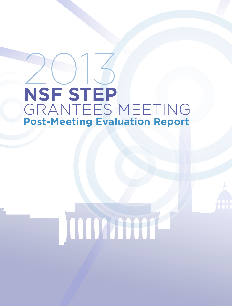# 2013 **NSF STEP** GRANTEES MEETING **Post-Meeting Evaluation Report**



# **JULIAN RE**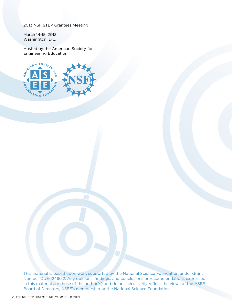2013 NSF STEP Grantees Meeting

March 14-15, 2013 Washington, D.C.

Hosted by the American Society for Engineering Education



This material is based upon work supported by the National Science Foundation under Grant Number DUE-1241552. Any opinions, findings, and conclusions or recommendations expressed in this material are those of the author(s) and do not necessarily reflect the views of the ASEE Board of Directors, ASEE's membership or the National Science Foundation.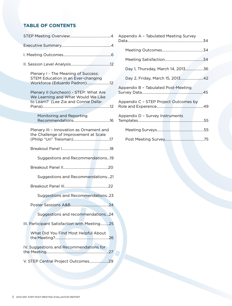# **TABLE OF CONTENTS**

| Plenary I - The Meaning of Success:<br>STEM Education in an Ever-changing<br>Workforce (Eduardo Padron)12            |
|----------------------------------------------------------------------------------------------------------------------|
| Plenary II (luncheon) - STEP: What Are<br>We Learning and What Would We Like<br>to Learn? (Lee Zia and Connie Della- |
| Monitoring and Reporting                                                                                             |
| Plenary III - Innovation as Ornament and<br>the Challenge of Improvement at Scale                                    |
|                                                                                                                      |
| Suggestions and Recommendations19                                                                                    |
|                                                                                                                      |
| Suggestions and Recommendations21                                                                                    |
|                                                                                                                      |
| Suggestions and Recommendations23                                                                                    |
|                                                                                                                      |
| Suggestions and recommendations24                                                                                    |
| III. Participant Satisfaction with Meeting25                                                                         |
| What Did You Find Most Helpful About<br>…26                                                                          |
| IV. Suggestions and Recommendations for<br>27                                                                        |
|                                                                                                                      |
|                                                                                                                      |

| Appendix A - Tabulated Meeting Survey |  |
|---------------------------------------|--|
|                                       |  |
|                                       |  |
| Day 1, Thursday, March 14, 201336     |  |
| Day 2, Friday, March 15, 201342       |  |
| Appendix B - Tabulated Post-Meeting   |  |
| Appendix C - STEP Project Outcomes by |  |
| Appendix D - Survey Instruments       |  |
|                                       |  |
|                                       |  |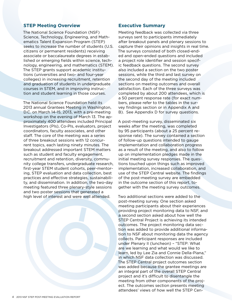# **STEP Meeting Overview**

The National Science Foundation (NSF) Science, Technology, Engineering, and Mathematics Talent Expansion Program (STEP) seeks to increase the number of students (U.S. citizens or permanent residents) receiving associate or baccalaureate degrees in established or emerging fields within science, technology, engineering, and mathematics (STEM). The STEP grants support academic institutions (universities and two- and four-year colleges) in increasing recruitment, retention and graduation of students in undergraduate courses in STEM, and in improving instruction and student learning in those courses.

The National Science Foundation held its 2013 annual Grantees Meeting in Washington, D.C. on March 14-15, 2013, with a pre-meeting workshop on the evening of March 13. The approximately 400 attendees included Principal Investigators (PIs), Co-PIs, evaluators, project coordinators, faculty associates, and other staff. The core of the meeting was a series of three breakout sessions with 12 concurrent topics, each lasting ninety minutes. The breakout addressed important STEM matters such as student and faculty engagement, recruitment and retention, diversity, community college transfers, undergraduate research, first-year STEM student cohorts, peer-mentoring, STEP evaluation and data collection, best practices and effective strategies, sustainability, and dissemination. In addition, the two-day meeting featured three plenary-style sessions and two poster sessions that generated a high level of interest and were well attended.



# **Executive Summary**

Meeting feedback was collected via three surveys sent to participants immediately after breakout panels and plenary sessions to capture their opinions and insights in real time. The surveys consisted of both closed-ended and open-ended questions and included a project role identifier and session specific feedback questions. The second survey also included a section on the two poster sessions, while the third and last survey on the second day of the meeting included sections on meeting outcomes and overall satisfaction. Each of the three surveys was completed by about 200 attendees, which is a 50 percent response rate (for exact numbers, please refer to the tables in the survey findings section or in Appendix A and B). See Appendix D for survey questions.

A post-meeting survey, disseminated six weeks after the meeting, was completed by 95 participants (about a 25 percent response rate). The survey contained a section of follow-up questions intended to gauge implementation and collaboration progress as a result of the meeting, and also to follow up on implementation pledges made in the initial meeting survey responses. The questions touched upon things such as improved implementation, increased collaboration, and use of the STEP Central website. The findings of the post-meeting survey are embedded in the outcome section of this report, together with the meeting survey outcomes.

Two additional sections were added to the post-meeting survey. One section asked meeting participants about their experiences providing project monitoring data to NSF, and a second section asked about how well the STEP Central Project is achieving its intended outcomes. The project monitoring data section was added to provide additional information to NSF about monitoring data the agency collects. Participant responses are included under Plenary II (luncheon) – "STEP: What are we learning and what would we like to learn, led by Lee Zia and Connie Della-Piana," in which NSF data collection was discussed. The STEP Central project outcomes section was added because the grantee meetings are an integral part of the overall STEP Central project and it's difficult to disentangle the meeting from other components of the project. The outcomes section presents meeting attendees' views of how well the STEP Cen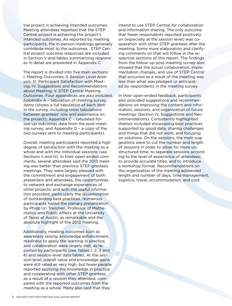tral project is achieving intended outcomes. Meeting attendees reported that the STEP Central project is achieving the project's intended outcomes. As reported by meeting participants, the in-person meetings generally contribute most to the outcomes. STEP Central project outcome responses are included in Section V and tables summarizing responses in detail are presented in Appendix C.

The report is divided into five main sections: I. Meeting Outcomes; II. Session Level Analysis; III. Participant Satisfaction with Meeting; IV. Suggestions and Recommendations about Meeting; V. STEP Central Meeting Outcomes. Four appendices are also included: Appendix A – tabulation of meeting survey items (shows a full tabulation of each item in the survey, including cross tabulations between grantees' role and experience on the project); Appendix C – tabulated follow-up outcomes data from the post-meeting survey; and Appendix D – a copy of the two surveys sent to meeting participants).

Overall, meeting participants reported a high degree of satisfaction with the meeting as a whole and with the individual sessions (see Sections II and III). In their open-ended comments, several attendees said the 2013 meeting was better than previous STEP grantees meetings. They were largely pleased with the commitment and engagement of both presenters and attendees, the opportunities to network and exchange experiences of other projects, and with the useful information provided, particularly the dissemination of outstanding best practices. Numerous participants hailed the plenary presentation by Philip Uri Treisman, Professor of Mathematics and Public Affairs at the University of Texas at Austin, as remarkable and the absolute highlight of the 2013 meeting.

Additionally, meeting outcomes such as awareness raising, knowledge enhancement, readiness to apply the learning in practice, and collaboration were largely met, as reported by participants (see Tables 1, 2, 3 and 4) and session-level data tables. At the session level, overall value and knowledge gains were still rated as very high, but fewer people reported applying the knowledge in practice and cooperating with other STEP grantees as a result of a session they attended, compared with the reported outcomes from the meeting as a whole. Many also said that they

intend to use STEP Central for collaboration and information sharing. The only outcome that fewer respondents reported positively on (especially at the session level) was cooperation with other STEP grantees after the meeting. Some more elaboration and clarifying comments on that will follow in the respective sections of this report. The findings from the follow-up post-meeting survey also showed that the actual collaboration, implementation changes, and use of STEP Central that occurred as a result of the meeting was less than what was pledged or anticipated by respondents in the meeting survey.

In their open-ended feedback, participants also provided suggestions and recommendations on improving the content and information, sessions, and organization of future meetings (Section IV, Suggestions and Recommendations). Consistently highlighted themes included showcasing best practices supported by good data, sharing challenges and things that did not work, and focusing on solutions. On the sessions, the main suggestions were to cut the number and length of sessions in order to allow for more unstructured time; to separate sessions according to the level of experience of attendees; to provide accurate titles, and to introduce a workshop format. Recommendations on the organization of the meeting addressed length and number of days, time management, logistics, travel, accommodation, and cost.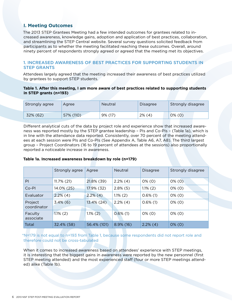# **I. Meeting Outcomes**

The 2013 STEP Grantees Meeting had a few intended outcomes for grantees related to increased awareness, knowledge gains, adoption and application of best practices, collaboration, and streamlining the STEP Central website. Several survey questions solicited feedback from participants as to whether the meeting facilitated reaching these outcomes. Overall, around ninety percent of respondents strongly agreed or agreed that the meeting met its objectives.

# 1. INCREASED AWARENESS OF BEST PRACTICES FOR SUPPORTING STUDENTS IN STEP GRANTS

Attendees largely agreed that the meeting increased their awareness of best practices utilized by grantees to support STEP students.

# **Table 1. After this meeting, I am more aware of best practices related to supporting students in STEP grants (n=193)**

| Strongly agree | Agree     | <b>Neutral</b> | Disagree  | Strongly disagree |
|----------------|-----------|----------------|-----------|-------------------|
| 32% (62)       | 57% (110) | 9% (17)        | $2\%$ (4) | $0\%$ (0)         |

Different analytical cuts of the data by project role and experience show that increased awareness was reported mostly by the STEP grantee leadership – PIs and Co-PIs – (Table 1a), which is in line with the attendance data reported. Consistently, over 70 percent of the meeting attendees at each session were PIs and Co-PIs (See Appendix A, Table A6, A7, A8). The third largest group – Project Coordinators (16 to 19 percent of attendees at the sessions) also proportionally reported a noticeable increase in awareness.

# **Table 1a. Increased awareness breakdown by role (n=179)**

|                        | Strongly agree | Agree         | <b>Neutral</b> | <b>Disagree</b> | Strongly disagree |
|------------------------|----------------|---------------|----------------|-----------------|-------------------|
| PI                     | $11.7\%$ (21)  | 21.8% (39)    | $2.2\%$ (4)    | $0\%$ (0)       | $0\%$ (0)         |
| Co-PI                  | 14.0% (25)     | 17.9% (32)    | $2.8\%$ (5)    | $1.1\%$ (2)     | $0\%$ (0)         |
| Evaluator              | $2.2\%$ (4)    | $2.2\%$ (4)   | $1.1\%$ (2)    | $0.6\%$ (1)     | $0\%$ (0)         |
| Project<br>coordinator | $3.4\%$ (6)    | $13.4\%$ (24) | $2.2\%$ (4)    | $0.6\%$ (1)     | $0\%$ (0)         |
| Faculty<br>associate   | $1.1\%$ (2)    | $1.1\%$ (2)   | $0.6\%$ (1)    | $0\%$ (0)       | $0\%$ (0)         |
| Total                  | 32.4% (58)     | 56.4% (101)   | $8.9\%$ (16)   | $2.2\%$ (4)     | $0\%$ (0)         |

\*N=179 is not equal to n=193 from Table 1, because some respondents did not report role and therefore could not be cross-tabulated

When it comes to increased awareness based on attendees' experience with STEP meetings, it is interesting that the biggest gains in awareness were reported by the new personnel (first STEP meeting attended) and the most experienced staff (four or more STEP meetings attended) alike (Table 1b).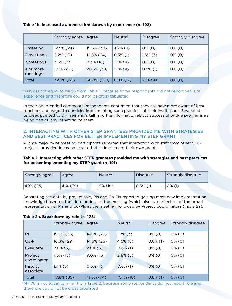# **Table 1b. Increased awareness breakdown by experience (n=192)**

|                       | Strongly agree | Agree        | <b>Neutral</b> | <b>Disagree</b> | Strongly disagree |
|-----------------------|----------------|--------------|----------------|-----------------|-------------------|
| 1 meeting             | 12.5% (24)     | 15.6% (30)   | $4.2\%$ (8)    | $0\%$ (0)       | $0\%$ (0)         |
| 2 meetings            | $5.2\%$ (10)   | 12.5% (24)   | $0.5\%$ (1)    | $1.6\%$ (3)     | $0\%$ (0)         |
| 3 meetings            | $3.6\%$ (7)    | $8.3\%$ (16) | $2.1\%$ (4)    | $0\%$ (0)       | $0\%$ (0)         |
| 4 or more<br>meetings | 10.9% (21)     | 20.3% (39)   | $2.1\%$ (4)    | $0.5\%$ (1)     | $0\%$ (0)         |
| Total                 | 32.3% (62)     | 56.8% (109)  | $8.9\%$ (17)   | $2.1\%$ (4)     | $0\%$ (0)         |

\*n=192 is not equal to n=193 from Table 1, because some respondents did not report years of experience and therefore could not be cross tabulated

In their open-ended comments, respondents confirmed that they are now more aware of best practices and eager to consider implementing such practices at their institutions. Several attendees pointed to Dr. Treisman's talk and the information about successful bridge programs as being particularly beneficial to them.

# 2. INTERACTING WITH OTHER STEP GRANTEES PROVIDED ME WITH STRATEGIES AND BEST PRACTICES FOR BETTER IMPLEMENTING MY STEP GRANT

A large majority of meeting participants reported that interaction with staff from other STEP projects provided ideas on how to better implement their own grants.

# **Table 2. Interacting with other STEP grantees provided me with strategies and best practices for better implementing my STEP grant (n=191)**

| Strongly agree | Agree    | <b>Neutral</b> | Disagree    | Strongly disagree |
|----------------|----------|----------------|-------------|-------------------|
| 49% (93)       | 41% (79) | 9% (18)        | $0.5\%$ (1) | $0\%$ (1)         |

Separating the data by project role, PIs and Co-PIs reported gaining most new implementation knowledge based on their interactions at the meeting (which also is a reflection of the broad representation of PIs and Co-PIs at the meeting, followed by Project Coordinators (Table 2a).

#### **Table 2a. Breakdown by role (n=178)**

|                        | Strongly agree | Agree        | <b>Neutral</b> | <b>Disagree</b> | Strongly disagree |
|------------------------|----------------|--------------|----------------|-----------------|-------------------|
| PI                     | 19.7% (35)     | 14.6% (26)   | $1.7\%$ (3)    | $0\%$ (0)       | $0\%$ (0)         |
| Co-PI                  | 16.3% (29)     | 14.6% (26)   | $4.5\%$ (8)    | $0.6\%$ (1)     | $0\%$ (0)         |
| Evaluator              | $2.8\%$ (5)    | $2.8\%$ (5)  | $0.6\%$ (1)    | $0\%$ (0)       | $0\%$ (0)         |
| Project<br>coordinator | $7.3\%$ (13)   | $9.0\%$ (16) | $2.8\%$ (5)    | $0\%$ (0)       | $0\%$ (0)         |
| Faculty<br>associate   | $1.7\%$ (3)    | $0.6\%$ (1)  | $0.6\%$ (1)    | $0\%$ (0)       | $0\%$ (0)         |
| Total                  | 47.8% (85)     | 41.6% (74)   | $10.1\%$ (18)  | $0.6\%$ (1)     | $0\%$ (0)         |

\*N=178 is not equal to n=191 from Table 2, because some respondents did not report role and therefore could not be cross tabulated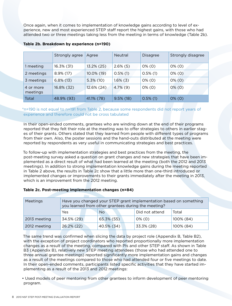Once again, when it comes to implementation of knowledge gains according to level of experience, new and most experienced STEP staff report the highest gains, with those who had attended two or three meetings taking less from the meeting in terms of knowledge (Table 2b).

|                       | Strongly agree | Agree        | <b>Neutral</b> | <b>Disagree</b> | Strongly disagree |
|-----------------------|----------------|--------------|----------------|-----------------|-------------------|
| 1 meeting             | 16.3% (31)     | 13.2% (25)   | $2.6\%$ (5)    | $0\%$ (0)       | $0\%$ (0)         |
| 2 meetings            | 8.9% (17)      | 10.0% (19)   | $0.5\%$ (1)    | $0.5\%$ (1)     | $0\%$ (0)         |
| 3 meetings            | $6.8\%$ (13)   | $5.3\%$ (10) | $1.6\%$ (3)    | $0\%$ (0)       | $0\%$ (0)         |
| 4 or more<br>meetings | 16.8% (32)     | 12.6% (24)   | $4.7\%$ (9)    | $0\%$ (0)       | $0\%$ (0)         |
| Total                 | 48.9% (93)     | 41.1% (78)   | $9.5\%$ (18)   | $0.5\%$ (1)     | $0\%$ (0)         |

# **Table 2b. Breakdown by experience (n=190)**

# \*n=190 is not equal to n=191 from Table 2, because some respondents did not report years of experience and therefore could not be cross tabulated

In their open-ended comments, grantees who are winding down at the end of their programs reported that they felt their role at the meeting was to offer strategies to others in earlier stages of their grants. Others stated that they learned from people with different types of programs from their own. Also, the poster sessions and the hand-outs distributed at the meeting were reported by respondents as very useful in communicating strategies and best practices.

To follow-up with implementation strategies and best practices from the meeting, the post-meeting survey asked a question on grant changes and new strategies that have been implemented as a direct result of what had been learned at the meeting (both the 2012 and 2013 meetings). In addition to strong implementation knowledge gains during the meeting reported in Table 2 above, the results in Table 2c show that a little more than one-third introduced or implemented changes or improvements to their grants immediately after the meeting in 2013, which is an improvement from the 2012 meeting.

# **Table 2c. Post-meeting implementation changes (n=84)**

| Meetings     | Have you changed your STEP grant implementation based on something<br>you learned from other grantees during the meeting? |            |                |           |  |  |
|--------------|---------------------------------------------------------------------------------------------------------------------------|------------|----------------|-----------|--|--|
|              | Yes                                                                                                                       | <b>No</b>  | Did not attend | Total     |  |  |
| 2013 meeting | 34.5% (29)                                                                                                                | 65.3% (55) | $0\%$ (0)      | 100% (84) |  |  |
| 2012 meeting | 26.2% (22)                                                                                                                | 40.5% (34) | 33.3% (28)     | 100% (84) |  |  |

The same trend was confirmed when slicing the data by project role (Appendix B, Table B2), with the exception of project coordinators who reported proportionally more implementation changes as a result of the meeting, compared with PIs and other STEP staff. As shown in Table B3 (Appendix B), relatively new STEP meeting attendees (those who had attended one to three annual grantee meetings) reported significantly more implementation gains and changes as a result of the meetings compared to those who had attended four or five meetings to date. In their open-ended comments, participants listed specific activities that they have started implementing as a result of the 2013 and 2012 meetings:

• Used models of peer mentoring from other grantees to inform development of peer mentoring program.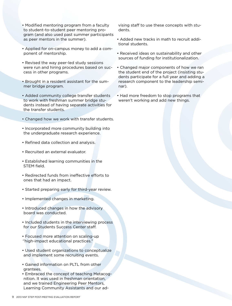- Modified mentoring program from a faculty to student-to-student peer mentoring program (and also used past summer participants as peer mentors in the summer).
- Applied for on-campus money to add a component of mentorship.
- Revised the way peer-led study sessions were run and hiring procedures based on success in other programs.
- Brought in a resident assistant for the summer bridge program.
- Added community college transfer students to work with freshman summer bridge students instead of having separate activities for the transfer students.
- Changed how we work with transfer students.
- Incorporated more community building into the undergraduate research experience.
- Refined data collection and analysis.
- Recruited an external evaluator.
- Established learning communities in the STEM field.
- Redirected funds from ineffective efforts to ones that had an impact.
- Started preparing early for third-year review.
- Implemented changes in marketing.
- Introduced changes in how the advisory board was conducted.
- Included students in the interviewing process for our Students Success Center staff.
- Focused more attention on scaling-up ''high-impact educational practices."
- Used student organizations to conceptualize and implement some recruiting events.
- Gained information on PLTL from other grantees.
- Embraced the concept of teaching Metacognition. It was used in freshman orientation, and we trained Engineering Peer Mentors, Learning Community Assistants and our ad-

vising staff to use these concepts with students.

- Added new tracks in math to recruit additional students.
- Received ideas on sustainability and other sources of funding for institutionalization.
- Changed major components of how we ran the student end of the project (insisting students participate for a full year and adding a research component to the leadership seminar).
- Had more freedom to stop programs that weren't working and add new things.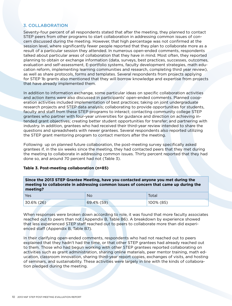# 3. COLLABORATION

Seventy-four percent of all respondents stated that after the meeting, they planned to contact STEP peers from other programs to start collaboration in addressing common issues of concern discussed during the meeting. However, that high percentage was not confirmed at the session level, where significantly fewer people reported that they plan to collaborate more as a result of a particular session they attended. In numerous open-ended comments, respondents talked about particular areas of collaboration that they have in mind. Most often, they reported planning to obtain or exchange information (data, surveys, best practices, successes, outcomes, evaluation and self-assessment, E-portfolio systems, faculty development strategies, math education reform, implementing learning communities and research, completing third year review), as well as share protocols, forms and templates. Several respondents from projects applying for STEP 1b grants also mentioned that they will borrow knowledge and expertise from projects that have already implemented them.

In addition to information exchange, some particular ideas on specific collaboration activities and action items were also discussed in participants' open-ended comments. Planned cooperation activities included implementation of best practices; taking on joint undergraduate research projects and STEP data analysis; collaborating to provide opportunities for students, faculty and staff from these STEP programs to interact; contacting community college STEP grantees who partner with four-year universities for guidance and direction on achieving intended grant objectives; creating better student opportunities for transfer; and partnering with industry. In addition, grantees who had received their third-year review intended to share the questions and spreadsheets with newer grantees. Several respondents also reported utilizing the STEP grant mentoring program to contact mentors after the meeting.

Following up on planned future collaboration, the post-meeting survey specifically asked grantees if, in the six weeks since the meeting, they had contacted peers that they met during the meeting to collaborate in addressing common issues. Thirty percent reported that they had done so, and around 70 percent had not (Table 3).

# **Table 3. Post-meeting collaboration (n=85)**

| Since the 2013 STEP Grantee Meeting, have you contacted anyone you met during the     |
|---------------------------------------------------------------------------------------|
| meeting to collaborate in addressing common issues of concern that came up during the |
| meeting?                                                                              |

| Yes        | <b>No</b>  | Total        |
|------------|------------|--------------|
| 30.6% (26) | 69.4% (59) | $100\%$ (85) |

When responses were broken down according to role, it was found that more faculty associates reached out to peers than not (Appendix B, Table B6). A breakdown by experience showed that less experienced STEP staff reached out to peers to collaborate more than did experienced staff (Appendix B, Table B7).

In their clarifying open-ended comments, respondents who had not reached out to peers explained that they hadn't had the time, or that other STEP grantees had already reached out to them. Those who had begun working with other STEP grantees reported collaborating on activities such as grant administration, sharing online materials, peer mentor training, math education, classroom innovation, sharing third-year report copies, exchanges of visits, and hosting of seminars, and sustainability. These activities were largely in line with the kinds of collaboration pledged during the meeting.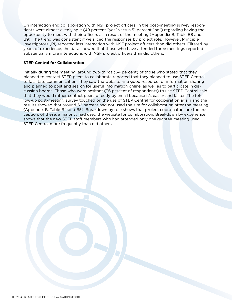On interaction and collaboration with NSF project officers, in the post-meeting survey respondents were almost evenly split (49 percent "yes" versus 51 percent "no") regarding having the opportunity to meet with their officers as a result of the meeting (Appendix B, Table B8 and B9). The trend was consistent if we sliced the responses by project role. However, Principle Investigators (PI) reported less interaction with NSF project officers than did others. Filtered by years of experience, the data showed that those who have attended three meetings reported substantially more interactions with NSF project officers than did others.

# **STEP Central for Collaboration**

Initially during the meeting, around two-thirds (64 percent) of those who stated that they planned to contact STEP peers to collaborate reported that they planned to use STEP Central to facilitate communication. They saw the website as a good resource for information sharing and planned to post and search for useful information online, as well as to participate in discussion boards. Those who were hesitant (36 percent of respondents) to use STEP Central said that they would rather contact peers directly by email because it's easier and faster. The follow-up post-meeting survey touched on the use of STEP Central for cooperation again and the results showed that around 62 percent had not used the site for collaboration after the meeting (Appendix B, Table B4 and B5). Breakdown by role shows that project coordinators are the exception; of these, a majority had used the website for collaboration. Breakdown by experience shows that the new STEP staff members who had attended only one grantee meeting used STEP Central more frequently than did others.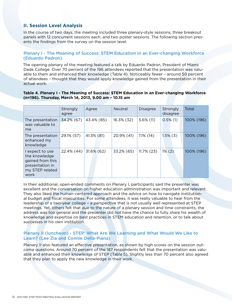# **II. Session Level Analysis**

In the course of two days, the meeting included three plenary-style sessions, three breakout panels with 12 concurrent sessions each, and two poster sessions. The following section presents the findings from the survey on the session level.

# Plenary I - The Meaning of Success: STEM Education in an Ever-changing Workforce (Eduardo Padron)

The opening plenary of the meeting featured a talk by Eduardo Padron, President of Miami Dade College. Over 70 percent of the 196 attendees reported that the presentation was valuable to them and enhanced their knowledge (Table 4). Noticeably fewer – around 50 percent of attendees – thought that they would apply knowledge gained from the presentation in their actual work.

#### **Table 4. Plenary I - The Meaning of Success: STEM Education in an Ever-changing Workforce (n=196). Thursday, March 14, 2013, 9.00 am – 10.15 am**

|                                                                                                    | Strongly<br>agree | Agree      | <b>Neutral</b> | <b>Disagree</b> | Strongly<br>disagree | Total      |
|----------------------------------------------------------------------------------------------------|-------------------|------------|----------------|-----------------|----------------------|------------|
| The presentation<br>was valuable to<br>me                                                          | 34.2% (67)        | 43.4% (85) | 16.3% (32)     | $5.6\%$ (11)    | $0.5\%$ (1)          | 100% (196) |
| The presentation<br>enhanced my<br>knowledge                                                       | 29.1% (57)        | 41.3% (81) | 20.9% (41)     | $7.1\%$ (14)    | $1.5\%$ (3)          | 100% (196) |
| I expect to use<br>the knowledge<br>gained from this<br>presentation in<br>my STEP related<br>work | 22.4% (44)        | 31.6% (62) | 33.2% (65)     | $11.7\%$ (23)   | $1\%$ (2)            | 100% (196) |

In their additional, open-ended comments on Plenary I, participants said the presenter was excellent and the conversation on higher education administration was important and relevant. They also liked the human-centered approach and the advice on how to navigate institutional budget and fiscal insecurities. For some attendees, it was really valuable to hear from the leadership of a two-year college – a perspective that is not usually well represented at STEP meetings. Yet, others felt that due to the nature of a plenary session and time constraints, the address was too general and the presenter did not have the chance to fully share his wealth of knowledge and expertise on best practices in STEM education and retention, or to talk about successes in his own institution.

# Plenary II (luncheon) - STEP: What Are We Learning and What Would We Like to Learn? (Lee Zia and Connie Della-Piana)

Plenary II also featured an effective presentation, as shown by high scores on the session outcome questions. Around 70 percent of the 187 respondents felt that the presentation was valuable and enhanced their knowledge of STEP (Table 5). Slightly less than 70 percent also agreed that they plan to apply the new knowledge in their work.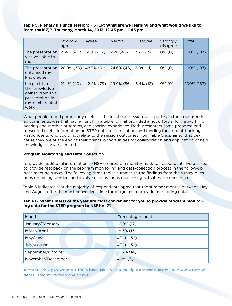**Table 5. Plenary II (lunch session) - STEP: What are we learning and what would we like to learn (n=187)? Thursday, March 14, 2013, 12.45 pm – 1.45 pm**

|                                                                                                    | Strongly<br>agree | Agree      | <b>Neutral</b> | <b>Disagree</b> | Strongly<br>disagree | Total      |
|----------------------------------------------------------------------------------------------------|-------------------|------------|----------------|-----------------|----------------------|------------|
| The presentation<br>was valuable to<br>me                                                          | 21.4% (40)        | 51.9% (97) | 23% (43)       | $3.7\%$ (7)     | $0\%$ (0)            | 100% (187) |
| The presentation<br>enhanced my<br>knowledge                                                       | 20.9% (39)        | 48.7% (91) | 24.6% (46)     | $5.9\%$ (11)    | $0\%$ (0)            | 100% (187) |
| I expect to use<br>the knowledge<br>gained from this<br>presentation in<br>my STEP related<br>work | 21.4% (40)        | 42.2% (79) | 29.9% (56)     | $6.4\%$ (12)    | $0\%$ (0)            | 100% (187) |

What people found particularly useful in the luncheon session, as reported in their open-ended comments, was that having lunch in a table format provided a good forum for networking, hearing about other programs, and sharing experience. Both presenters came prepared and presented useful information on STEP data, dissemination, and funding for student tracking. Respondents who could not relate to the session outcomes from Table 5 explained that because they are at the end of their grants, opportunities for collaboration and application of new knowledge are very limited.

# **Program Monitoring and Data Collection**

To provide additional information to NSF on program monitoring data, respondents were asked to provide feedback on the program monitoring and data-collection process in the follow-up post-meeting survey. The following three tables summarize the findings from the survey questions on timing, burden, and involvement as far as monitoring activities are concerned.

Table 6 indicates that the majority of respondents agree that the summer months between May and August offer the most convenient time for programs to provide monitoring data.

# **Table 6. What time(s) of the year are most convenient for you to provide program monitoring data for the STEP program to NSF? n=71\***

| Month             | Percentage/count |
|-------------------|------------------|
| January/February  | 16.9% (12)       |
| March/April       | 18.3% (13)       |
| May/June          | 45.1% (32)       |
| July/August       | 45.1% (32)       |
| September/October | 19.7% (14)       |
| November/December | $4.2\%$ (3)      |

\*Accumulative percentage > 100% because it was a multiple answer question and some respondents listed more than one answer.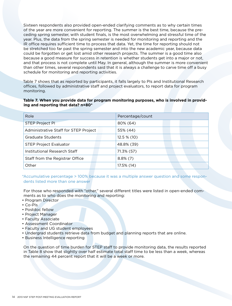Sixteen respondents also provided open-ended clarifying comments as to why certain times of the year are more convenient for reporting. The summer is the best time, because the preceding spring semester, with student finals, is the most overwhelming and stressful time of the year. Plus, the data from the spring semester is needed for monitoring and reporting and the IR office requires sufficient time to process that data. Yet, the time for reporting should not be stretched too far past the spring semester and into the new academic year, because data could be forgotten or get lost amid other research projects. The summer is a good time also because a good measure for success in retention is whether students get into a major or not, and that process is not complete until May. In general, although the summer is more convenient than other times, several respondents said that it is always a challenge to carve time off a busy schedule for monitoring and reporting activities.

Table 7 shows that as reported by participants, it falls largely to PIs and Institutional Research offices, followed by administrative staff and project evaluators, to report data for program monitoring.

# **Table 7. When you provide data for program monitoring purposes, who is involved in providing and reporting that data? n=80\***

| Role                                  | Percentage/count |
|---------------------------------------|------------------|
| <b>STEP Project PI</b>                | 80% (64)         |
| Administrative Staff for STEP Project | 55% (44)         |
| Graduate Students                     | $12.5\%$ (10)    |
| <b>STEP Project Evaluator</b>         | 48.8% (39)       |
| Institutional Research Staff          | 71.3% (57)       |
| Staff from the Registrar Office       | $8.8\%$ (7)      |
| Other                                 | 17.5% (14)       |

\*Accumulative percentage > 100% because it was a multiple answer question and some respondents listed more than one answer

For those who responded with "other," several different titles were listed in open-ended comments as to who does the monitoring and reporting:

- Program Director
- Co-PIs
- Postdoc fellow
- Project Manager
- Faculty Associate
- Assessment Coordinator
- Faculty and UG student employees
- Undergrad students retrieve data from budget and planning reports that are online.
- Business Intelligence reporting

On the question of time burden for STEP staff to provide monitoring data, the results reported in Table 8 show that slightly over half estimate total staff time to be less than a week, whereas the remaining 44 percent report that it will be a week or more.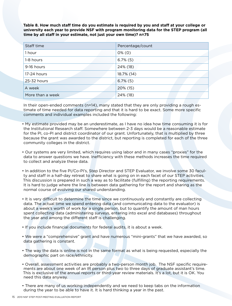**Table 8. How much staff time do you estimate is required by you and staff at your college or university each year to provide NSF with program monitoring data for the STEP program (all time by all staff in your estimate, not just your own time)? n=75**

| Staff time       | Percentage/count |
|------------------|------------------|
| 1 hour           | $0\%$ (0)        |
| 1-8 hours        | $6.7\%$ (5)      |
| 9-16 hours       | 24% (18)         |
| 17-24 hours      | 18.7% (14)       |
| 25-32 hours      | $6.7\%$ (5)      |
| A week           | 20% (15)         |
| More than a week | 24% (18)         |

In their open-ended comments (n=14), many stated that they are only providing a rough estimate of time needed for data reporting and that it is hard to be exact. Some more specific comments and individual examples included the following:

- My estimate provided may be an underestimate, as I have no idea how time consuming it is for the Institutional Research staff. Somewhere between 2-3 days would be a reasonable estimate for the PI, co-PI and district coordinator of our grant. Unfortunately, that is multiplied by three because the grant was awarded to the district, but reporting is completed for each of the three community colleges in the district.
- Our systems are very limited, which requires using labor and in many cases "proxies" for the data to answer questions we have. Inefficiency with these methods increases the time required to collect and analyze these data.
- In addition to the five PI/Co-PI's, Step Director and STEP Evaluator, we involve some 30 faculty and staff in a half-day retreat to share what is going on in each facet of our STEP activities. This discussion is prepared in such a way as to facilitate (fulfilling) the reporting requirements. It is hard to judge where the line is between data gathering for the report and sharing as the normal course of evolving our shared understanding.
- It is very difficult to determine the time since we continuously and constantly are collecting data. The actual time we spend entering data (and communicating data to the evaluator) is about a week's worth of work for a single person, but to quantify the amount of man hours spent collecting data (administering surveys, entering into excel and databases) throughout the year and among the different staff is challenging.
- If you include financial documents for federal audits, it is about a week.
- We were a "comprehensive" grant and have numerous "mini-grants" that we have awarded, so data gathering is constant.
- The way the data is online is not in the same format as what is being requested, especially the demographic part on race/ethnicity.
- Overall, assessment activities are probably a two-person month job. The NSF specific requirements are about one week of an IR person plus two to three days of graduate assistant's time. This is exclusive of the annual reports or third-year review materials. It's a lot, but it is OK. You need this data anyway.
- There are many of us working independently and we need to keep tabs on the information during the year to be able to have it. It is hard thinking a year in the past.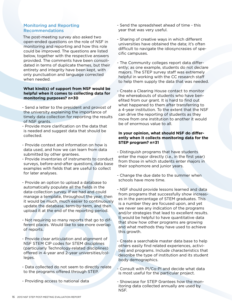# Monitoring and Reporting Recommendations

The post-meeting survey also asked two open-ended questions on the role of NSF in monitoring and reporting and how this role could be improved. The questions are listed below, together with the respective answers provided. The comments have been consolidated in terms of duplicate themes, but their entirety and integrity have been kept, with only punctuation and language corrected when needed.

#### **What kind(s) of support from NSF would be helpful when it comes to collecting data for monitoring purposes? n=30**

- Send a letter to the president and provost of the university explaining the importance of timely data collection for reporting the results of NSF grants.
- Provide more clarification on the data that is needed and suggest data that should be collected.
- Provide context and information on how is data used, and how we can learn from data submitted by other grantees.
- Provide inventories of instruments to conduct surveys, before-and-after questions, data base examples with fields that are useful to collect for later analyses.
- Provide an option to upload a database to automatically populate all the fields in the data-collection survey. If we had and could manage a template, throughout the year, then it would be much, much easier to continuously update the database, term-by-term, and then upload it at the end of the reporting period.
- Not requiring so many reports that go to different places. Would like to see more overlap of reports.
- Provide clear articulation and alignment of NSF STEM CIP codes for STEM disciplines (particularly Technology-related disciplines) offered in 4-year and 2-year universities/colleges.
- Data collected do not seem to directly relate to the programs offered through STEP.
- Providing access to national data
- Send the spreadsheet ahead of time this year that was very useful.
- Sharing of creative ways in which different universities have obtained the data; it's often difficult to navigate the idiosyncrasies of specific campuses.
- The Community colleges report data differently; as one example, students do not declare majors. The STEP survey staff was extremely helpful in working with the CC research staff to help them supply the data that was needed.
- Create a Clearing House contact to monitor the whereabouts of students who have benefited from our grant. It is hard to find out what happened to them after transferring to a 4-year institution. To the extent that the NSF can drive the reporting of students as they move from one institution to another it would be of enormous value to all.

# **In your opinion, what should NSF do differently when it collects monitoring data for the STEP program? n=31**

- Distinguish programs that have students enter the major directly (i.e., in the first year) from those in which students enter majors in their sophomore and junior years.
- Change the due date to the summer when schools have more time.
- NSF should provide lessons learned and data from programs that successfully show increases in the percentage of STEM graduates. This is a number they are focused upon, and yet we never see any indication of the programs and/or strategies that lead to excellent results. It would be helpful to have quantitative data that show how other programs are growing and what methods they have used to achieve this growth.
- Create a searchable master data base to help others easily find related experiences, activities and programs. Include characteristics that describe the type of institution and its student body demographics.
- Consult with PI/Co-PI and decide what data is most useful for the particular project.
- Showcase for STEP Grantees how the monitoring data collected annually are used by NSF.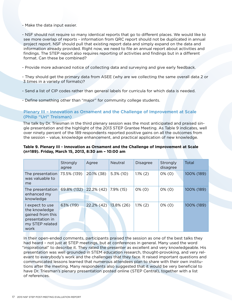- Make the data input easier.

- NSF should not require so many identical reports that go to different places. We would like to see more overlap of reports - information from QRC report should not be duplicated in annual project report. NSF should pull that existing report data and simply expand on the data and information already provided. Right now, we need to file an annual report about activities and findings. The STEP report also requires reporting of activities and findings but in a different format. Can these be combined?

- Provide more advanced notice of collecting data and surveying and give early feedback.
- They should get the primary data from ASEE (why are we collecting the same overall data 2 or 3 times in a variety of formats)?
- Send a list of CIP codes rather than general labels for curricula for which data is needed.
- Define something other than "major" for community college students.

# Plenary III – Innovation as Ornament and the Challenge of Improvement at Scale (Philip "Uri" Treisman)

The talk by Dr. Triesman in the third plenary session was the most anticipated and praised single presentation and the highlight of the 2013 STEP Grantee Meeting. As Table 9 indicates, well over ninety percent of the 189 respondents reported positive gains on all the outcomes from the session – value, knowledge enhancement, and practical application of new knowledge.

# **Table 9. Plenary III - Innovation as Ornament and the Challenge of Improvement at Scale (n=189). Friday, March 15, 2013, 8:30 am – 10:00 am**

|                                                                                                    | Strongly<br>agree | Agree         | Neutral       | <b>Disagree</b> | Strongly<br>disagree | Total      |
|----------------------------------------------------------------------------------------------------|-------------------|---------------|---------------|-----------------|----------------------|------------|
| The presentation<br>was valuable to<br>me                                                          | 73.5% (139)       | 20.1% (38)    | $5.3\%$ (10)  | $1.1\%$ (2)     | $0\%$ (0)            | 100% (189) |
| The presentation<br>enhanced my<br>knowledge                                                       | $69.8\%$ (132)    | 22.2% (42)    | 7.9% (15)     | $0\%$ (0)       | $0\%$ (0)            | 100% (189) |
| l expect to use<br>the knowledge<br>gained from this<br>presentation in<br>my STEP related<br>work | 63% (119)         | $22.2\%$ (42) | $13.8\%$ (26) | $1.1\%$ (2)     | $0\%$ (0)            | 100% (189) |

In their open-ended comments, participants praised the session as one of the best talks they had heard – not just at STEP meetings, but at conferences in general. Many used the word "inspirational" to describe it. They rated the presenter as excellent and very knowledgeable. His presentation was well grounded in STEM education research, thought-provoking, and very relevant to everybody's work and the challenges that they face. It raised important questions and communicated lessons learned that numerous attendees plan to share with their own institutions after the meeting. Many respondents also suggested that it would be very beneficial to have Dr. Triesman's plenary presentation posted online (STEP Central), together with a list of references.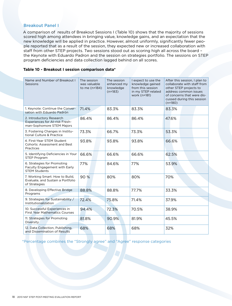# Breakout Panel I

A comparison of results of Breakout Sessions I (Table 10) shows that the majority of sessions scored high among attendees in bringing value, knowledge gains, and an expectation that the new knowledge will be applied in practice. However, almost uniformly, significantly fewer people reported that as a result of the session, they expected new or increased collaboration with staff from other STEP projects. Two sessions stood out as scoring high all across the board – the Keynote with Eduardo Padron and the session on strategies portfolio. The sessions on STEP program deficiencies and data collection lagged behind on all scores.

# **Table 10 - Breakout I session comparison data\***

| Name and Number of Breakout I<br>Sessions                                                      | The session<br>was valuable<br>to me (n=184) | The session<br>enhanced my<br>knowledge<br>$(n=183)$ | I expect to use the<br>knowledge gained<br>from this session<br>in my STEP related<br>work (n=181) | After this session, I plan to<br>collaborate with staff from<br>other STEP projects to<br>address common issues<br>of concerns that were dis-<br>cussed during this session<br>$(n=180)$ |
|------------------------------------------------------------------------------------------------|----------------------------------------------|------------------------------------------------------|----------------------------------------------------------------------------------------------------|------------------------------------------------------------------------------------------------------------------------------------------------------------------------------------------|
| 1. Keynote: Continue the Conver-<br>sation with Eduardo Padrón                                 | 71.4%                                        | 83.3%                                                | 83.3%                                                                                              | 83.3%                                                                                                                                                                                    |
| 2. Introductory Research<br><b>Experiences for At-risk Fresh-</b><br>man-Sophomore STEM Majors | 86.4%                                        | 86.4%                                                | 86.4%                                                                                              | 47.6%                                                                                                                                                                                    |
| 3. Fostering Changes in Institu-<br>tional Culture & Practice                                  | 73.3%                                        | 66.7%                                                | 73.3%                                                                                              | 53.3%                                                                                                                                                                                    |
| 4. First-Year STEM Student<br><b>Cohorts: Assessment and Best</b><br><b>Practices</b>          | 93.8%                                        | 93.8%                                                | 93.8%                                                                                              | 66.6%                                                                                                                                                                                    |
| 5. Identifying Deficiencies in Your<br><b>STEP Program</b>                                     | 66.6%                                        | 66.6%                                                | 66.6%                                                                                              | 62.5%                                                                                                                                                                                    |
| 6. Strategies for Promoting<br>Faculty Engagement with Early<br><b>STEM Students</b>           | 77%                                          | 84.6%                                                | 77%                                                                                                | 53.9%                                                                                                                                                                                    |
| 7. Working Smart: How to Build,<br>Evaluate, and Sustain a Portfolio<br>of Strategies          | 90 %                                         | 80%                                                  | 80%                                                                                                | 70%                                                                                                                                                                                      |
| 8. Developing Effective Bridge<br>Programs                                                     | 88.8%                                        | 88.8%                                                | 77.7%                                                                                              | 33.3%                                                                                                                                                                                    |
| 9. Strategies for Sustainability /<br>Institutionalization                                     | 72.4%                                        | 75.8%                                                | 71.4%                                                                                              | 37.9%                                                                                                                                                                                    |
| 10. Successful Experiences in<br><b>First Year Mathematics Courses</b>                         | 94.4%                                        | 72.3%                                                | 70.5%                                                                                              | 38.9%                                                                                                                                                                                    |
| 11. Strategies for Promoting<br><b>Diversity</b>                                               | 81.8%                                        | 90.9%                                                | 81.9%                                                                                              | 45.5%                                                                                                                                                                                    |
| 12. Data Collection, Publishing,<br>and Dissemination of Results                               | 68%                                          | 68%                                                  | 68%                                                                                                | 32%                                                                                                                                                                                      |

\*Percentage combines the "Strongly agree" and "Agree" response categories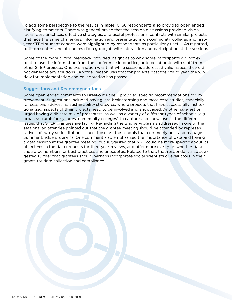To add some perspective to the results in Table 10, 38 respondents also provided open-ended clarifying comments. There was general praise that the session discussions provided vision, ideas, best practices, effective strategies, and useful professional contacts with similar projects that face the same challenges. Information and presentations on community colleges and firstyear STEM student cohorts were highlighted by respondents as particularly useful. As reported, both presenters and attendees did a good job with interaction and participation at the sessions.

Some of the more critical feedback provided insight as to why some participants did not expect to use the information from the conference in practice, or to collaborate with staff from other STEP projects. One explanation was that while sessions addressed valid issues, they did not generate any solutions. Another reason was that for projects past their third year, the window for implementation and collaboration has passed.

# Suggestions and Recommendations

Some open-ended comments to Breakout Panel I provided specific recommendations for improvement. Suggestions included having less brainstorming and more case studies, especially for sessions addressing sustainability strategies, where projects that have successfully institutionalized aspects of their projects need to be involved and showcased. Another suggestion urged having a diverse mix of presenters, as well as a variety of different types of schools (e.g. urban vs. rural; four year vs. community colleges) to capture and showcase all the different issues that STEP grantees are facing. Regarding the Bridge Programs addressed in one of the sessions, an attendee pointed out that the grantee meeting should be attended by representatives of two-year institutions, since those are the schools that commonly host and manage Summer Bridge programs. One comment also emphasized the importance of data and having a data session at the grantee meeting, but suggested that NSF could be more specific about its objectives in the data requests for third year reviews, and offer more clarity on whether data should be numbers, or best practices and anecdotes. Related to that, that respondent also suggested further that grantees should perhaps incorporate social scientists or evaluators in their grants for data collection and compliance.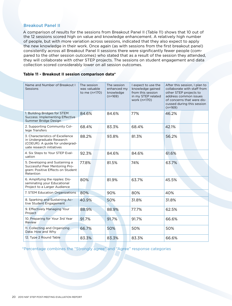# Breakout Panel II

A comparison of results for the sessions from Breakout Panel II (Table 11) shows that 10 out of the 12 sessions scored high on value and knowledge enhancement. A relatively high number of people, but with more variation across sessions, indicated that they also expect to apply the new knowledge in their work. Once again (as with sessions from the first breakout panel) consistently across all Breakout Panel II sessions there were significantly fewer people (compared to the other session outcomes) who stated that as a result of the session they attended, they will collaborate with other STEP projects. The sessions on student engagement and data collection scored considerably lower on all session outcomes.

#### **Table 11 - Breakout II session comparison data\***

| Name and Number of Breakout I<br>Sessions                                                                                     | The session<br>was valuable<br>to me (n=170) | The session<br>enhanced my<br>knowledge<br>$(n=169)$ | I expect to use the<br>knowledge gained<br>from this session<br>in my STEP related<br>work (n=170) | After this session, I plan to<br>collaborate with staff from<br>other STEP projects to<br>address common issues<br>of concerns that were dis-<br>cussed during this session<br>$(n=169)$ |
|-------------------------------------------------------------------------------------------------------------------------------|----------------------------------------------|------------------------------------------------------|----------------------------------------------------------------------------------------------------|------------------------------------------------------------------------------------------------------------------------------------------------------------------------------------------|
| 1. Building Bridges for STEM<br>Success: Implementing Effective<br>Summer Bridge Design                                       | 84.6%                                        | 84.6%                                                | 77%                                                                                                | 46.2%                                                                                                                                                                                    |
| 2. Supporting Community Col-<br>lege Transfers                                                                                | 68.4%                                        | 83.3%                                                | 68.4%                                                                                              | 42.1%                                                                                                                                                                                    |
| 3. Characteristics of Excellence<br>in Undergraduate Research<br>(COEUR): A guide for undergrad-<br>uate research initiatives | 88.2%                                        | 93.8%                                                | 81.3%                                                                                              | 56.2%                                                                                                                                                                                    |
| 4. Six Steps to Your STEP Eval-<br>uation                                                                                     | 92.3%                                        | 84.6%                                                | 84.6%                                                                                              | 61.6%                                                                                                                                                                                    |
| 5. Developing and Sustaining a<br>Successful Peer Mentoring Pro-<br>gram: Positive Effects on Student<br>Retention            | 77.8%                                        | 81.5%                                                | 74%                                                                                                | 63.7%                                                                                                                                                                                    |
| 6. Amplifying the ripples: Dis-<br>seminating your Educational<br>Project to a Larger Audience                                | 80%                                          | 81.9%                                                | 63.7%                                                                                              | 45.5%                                                                                                                                                                                    |
| 7. STEM Education Organizations                                                                                               | 80%                                          | 90%                                                  | 80%                                                                                                | 40%                                                                                                                                                                                      |
| 8. Sparking and Sustaining Ac-<br>tive Student Engagement                                                                     | 40.9%                                        | 50%                                                  | 31.8%                                                                                              | 31.8%                                                                                                                                                                                    |
| 9. Effectively Managing Your<br>Project                                                                                       | 88.9%                                        | 88.9%                                                | 77.7%                                                                                              | 62.5%                                                                                                                                                                                    |
| 10. Preparing for Your 3rd Year<br>Review                                                                                     | 91.7%                                        | 91.7%                                                | 91.7%                                                                                              | 66.6%                                                                                                                                                                                    |
| 11. Collecting and Organizing<br>Data: How and Why                                                                            | 66.7%                                        | 50%                                                  | 50%                                                                                                | 50%                                                                                                                                                                                      |
| 12. Type 2 Round Table                                                                                                        | 83.3%                                        | 83.3%                                                | 83.3%                                                                                              | 66.6%                                                                                                                                                                                    |

\*Percentage combines the "Strongly agree" and "Agree" response categories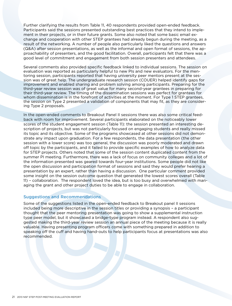Further clarifying the results from Table 11, 40 respondents provided open-ended feedback. Participants said the sessions presented outstanding best practices that they intend to implement in their projects, or in their future grants. Some also noted that some basic email exchange and cooperation with other STEP grantees had already begun during the meeting, as a result of the networking. A number of people also particularly liked the questions and answers (Q&A) after session presentations, as well as the informal and open format of sessions, the approachability of presenters, and the good facilitation. Overall, participants felt that there was a good level of commitment and engagement from both session presenters and attendees.

Several comments also provided specific feedback linked to individual sessions. The session on evaluation was reported as particularly helpful to new PIs and new evaluators. For the mentoring session, participants reported that having university peer mentors present at the session was of great help. The undergraduate research session (COUER) helped identify gaps for improvement and enabled sharing and problem solving among participants. Preparing for the third-year review session was of great value for many second-year grantees in preparing for their third-year review. The timing of the dissemination sessions was perfect for grantees for whom dissemination is in the forefront of activities at the moment. For Type 1 STEP grantees, the session on Type 2 presented a validation of components that may fit, as they are considering Type 2 proposals.

In the open-ended comments to Breakout Panel II sessions there was also some critical feedback with room for improvement. Several participants elaborated on the noticeably lower scores of the student engagement session (Table 11): the session presented an interesting description of projects, but was not particularly focused on engaging students and really missed its topic and its objective. Some of the programs showcased at other sessions did not demonstrate any impact upon graduation. For a few respondents, the data presentation (the other session with a lower score) was too general, the discussion was poorly moderated and drawn off topic by the participants, and it failed to provide specific examples of how to analyze data for STEP projects. Others noted that some of the session content duplicated content from the summer PI meeting. Furthermore, there was a lack of focus on community colleges and a lot of the information presented was geared towards four-year institutions. Some people did not like the open discussion and participation format of sessions and said they would prefer hearing a presentation by an expert, rather than having a discussion. One particular comment provided some insight on the session outcome question that generated the lowest scores overall (Table 11) – collaboration. The respondent loved the idea, but is too busy and overwhelmed with managing the grant and other project duties to be able to engage in collaboration.

# Suggestions and Recommendations

Some of the suggestions listed in the open-ended feedback to Breakout panel II sessions included being more descriptive in the session titles or providing a synopsis – a participant thought that the peer mentoring presentation was going to show a supplemental instruction type peer model, but it showcased a bridge-type program instead. A respondent also suggested making the third-year review session an annual piece of the meeting because it is really valuable. Having presenting program officers come with something prepared in addition to speaking off the cuff and having hand-outs to help participants focus at presentations was also recommended.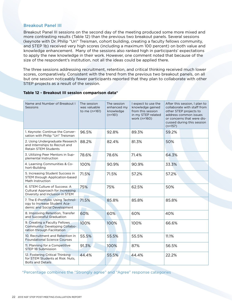# Breakout Panel III

Breakout Panel III sessions on the second day of the meeting produced some more mixed and more contrasting results (Table 12) than the previous two breakout panels. Several sessions (keynote with Dr. Philip "Uri" Treisman, cohort building, creating a faculty fellows community, and STEP 1b) received very high scores (including a maximum 100 percent) on both value and knowledge enhancement. Many of the sessions also ranked high in participants' expectations to apply the new knowledge in their work. However, one comment noted that because of the size of the respondent's institution, not all the ideas could be applied there.

The three sessions addressing recruitment, retention, and critical thinking received much lower scores, comparatively. Consistent with the trend from the previous two breakout panels, on all but one session noticeably fewer participants reported that they plan to collaborate with other STEP projects as a result of the session.

| Name and Number of Breakout I<br><b>Sessions</b>                                                     | The session<br>was valuable<br>to me (n=161) | The session<br>enhanced my<br>knowledge<br>$(n=161)$ | I expect to use the<br>knowledge gained<br>from this session<br>in my STEP related<br>work (n=160) | After this session, I plan to<br>collaborate with staff from<br>other STEP projects to<br>address common issues<br>or concerns that were dis-<br>cussed during this session<br>$(n=157)$ |  |
|------------------------------------------------------------------------------------------------------|----------------------------------------------|------------------------------------------------------|----------------------------------------------------------------------------------------------------|------------------------------------------------------------------------------------------------------------------------------------------------------------------------------------------|--|
| 1. Keynote: Continue the Conver-<br>sation with Philip "Uri" Treisman                                | 96.5%                                        | 92.8%                                                | 89.3%                                                                                              | 59.2%                                                                                                                                                                                    |  |
| 2. Using Undergraduate Research<br>and Internships to Recruit and<br><b>Retain STEM Students</b>     | 88.2%                                        | 82.4%                                                | 81.3%                                                                                              | 50%                                                                                                                                                                                      |  |
| 3. Utilizing Peer Mentors in Sup-<br>plemental Instruction                                           | 78.6%                                        | 78.6%                                                | 71.4%                                                                                              | 64.3%                                                                                                                                                                                    |  |
| 4. Learning Communities & Co-<br>hort-Building                                                       | 100%                                         | 90.9%                                                | 90.9%                                                                                              | 33.3%                                                                                                                                                                                    |  |
| 5. Increasing Student Success in<br>STEM through Application-based<br>Math Instruction               | 71.5%                                        | 71.5%                                                | 57.2%                                                                                              | 57.2%                                                                                                                                                                                    |  |
| 6. STEM Culture of Success: A<br>Cultural Approach for Increasing<br>Diversity and Inclusion in STEM | 75%                                          | 75%                                                  | 62.5%                                                                                              | 50%                                                                                                                                                                                      |  |
| 7. The E-Portfolio: Using Technol-<br>ogy to Increase Student Aca-<br>demic and Social Development   | 71.5%                                        | 85.8%                                                | 85.8%                                                                                              | 85.8%                                                                                                                                                                                    |  |
| 8. Improving Retention, Transfer<br>and Successful Graduation                                        | 60%                                          | 60%                                                  | 60%                                                                                                | 40%                                                                                                                                                                                      |  |
| 9. Creating a Faculty Fellows<br>Community: Developing Collabo-<br>ration through Facilitation       | 100%                                         | 100%                                                 | 100%                                                                                               | 66.6%                                                                                                                                                                                    |  |
| 10. Recruitment and Retention in<br><b>Foundational Science Courses</b>                              | 55.5%                                        | 55.5%                                                | 55.5%                                                                                              | 11.1%                                                                                                                                                                                    |  |
| 11. Planning for a Competitive<br>STEP 1B Submission                                                 | 91.3%                                        | 100%                                                 | 87%                                                                                                | 56.5%                                                                                                                                                                                    |  |
| 12. Fostering Critical Thinking<br>for STEM Students at Risk: Nuts,<br><b>Bolts and Details</b>      | 44.4%                                        | 55.5%                                                | 44.4%                                                                                              | 22.2%                                                                                                                                                                                    |  |

#### **Table 12 - Breakout III session comparison data\***

\*Percentage combines the "Strongly agree" and "Agree" response categories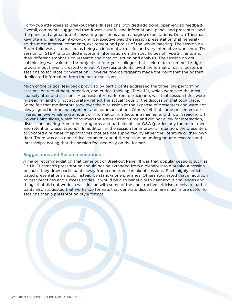Forty-two attendees at Breakout Panel III sessions provided additional open-ended feedback. Overall, comments suggested that it was a useful and informational panel, and presenters and the panel did a great job of answering questions and managing expectations. Dr. Uri Triesman's keynote and his thought-provoking perspective was the session presentation that generated the most interest, comments, excitement and praise of the whole meeting. The session on E-portfolio was also praised as being an informative, useful and very interactive workshop. The session on STEP 1B provided important information on the specificities of Type 2 grants and their different emphasis on research and data collection and analysis. The session on critical thinking was valuable for projects at four-year colleges that seek to do a summer bridge program but haven't created one yet. A few respondents loved the format of using posters in sessions to facilitate conversation. However, two participants made the point that the posters duplicated information from the poster sessions.

Much of the critical feedback provided by participants addressed the three low-performing sessions on recruitment, retention, and critical thinking (Table 12), which were also the most sparsely attended sessions. A consistent remark from participants was that session titles were misleading and did not accurately reflect the actual focus of the discussion that took place. Some felt that moderators took over the discussion at the expense of presenters and were not always good in time management and communication. Others felt that some presenters delivered an overwhelming amount of information in a lecturing manner and through reading off Power Point slides, which consumed the entire session time and did not allow for interaction, discussion, hearing from other programs and participants, or Q&A (particularly the recruitment and retention presentations). In addition, in the session for improving retention, the presenters advocated a number of approaches that are not supported by either the literature or their own data. There was also one critical comment about the session on undergraduate research and internships, noting that the session focused only on the former.

# Suggestions and Recommendations

A major recommendation that came out of Breakout Panel III was that popular sessions such as Dr. Uri Triesman's presentation should not be extended from a plenary into a breakout session because they draw participants away from concurrent breakout sessions. Such highly anticipated presentations should instead be stand-alone plenaries. Others suggested that in addition to best practices and success stories, it would be also beneficial to hear about challenges and things that did not work so well. In line with some of the constructive criticism received, participants also suggested that workshop formats that generate discussion are much more useful for sessions than a presentation-style format.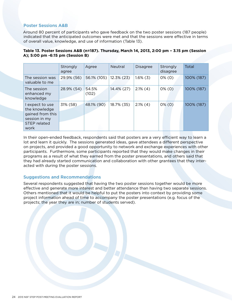# Poster Sessions A&B

Around 80 percent of participants who gave feedback on the two poster sessions (187 people) indicated that the anticipated outcomes were met and that the sessions were effective in terms of overall value, knowledge, and use of information (Table 13).

|                                                                                               | Strongly<br>agree | Agree          | Neutral       | <b>Disagree</b> | Strongly<br>disagree | Total      |
|-----------------------------------------------------------------------------------------------|-------------------|----------------|---------------|-----------------|----------------------|------------|
| The session was<br>valuable to me                                                             | 29.9% (56)        | 56.1% (105)    | $12.3\%$ (23) | $1.6\%$ (3)     | $0\%$ (0)            | 100% (187) |
| The session<br>enhanced my<br>knowledge                                                       | 28.9% (54)        | 54.5%<br>(102) | 14.4% (27)    | $2.1\%$ (4)     | $0\%$ (0)            | 100% (187) |
| I expect to use<br>the knowledge<br>gained from this<br>session in my<br>STEP related<br>work | 31% (58)          | 48.1% (90)     | 18.7% (35)    | $2.1\%$ (4)     | $0\%$ (0)            | 100% (187) |

# **Table 13. Poster Sessions A&B (n=187). Thursday, March 14, 2013, 2:00 pm – 3.15 pm (Session A); 5:00 pm -6:15 pm (Session B)**

In their open-ended feedback, respondents said that posters are a very efficient way to learn a lot and learn it quickly. The sessions generated ideas, gave attendees a different perspective on projects, and provided a good opportunity to network and exchange experiences with other participants. Furthermore, some participants reported that they would make changes in their programs as a result of what they earned from the poster presentations, and others said that they had already started communication and collaboration with other grantees that they interacted with during the poster sessions.

# Suggestions and Recommendations

Several respondents suggested that having the two poster sessions together would be more effective and generate more interest and better attendance than having two separate sessions. Others mentioned that it would be helpful to put the posters into context by providing some project information ahead of time to accompany the poster presentations (e.g. focus of the projects; the year they are in; number of students served).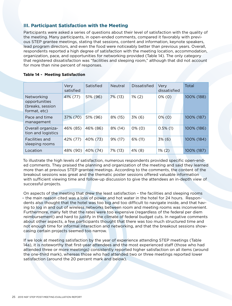# **III. Participant Satisfaction with the Meeting**

Participants were asked a series of questions about their level of satisfaction with the quality of the meeting. Many participants, in open-ended comments, compared it favorably with previous STEP grantee meetings, stating that sessions, content and information, keynote speakers, lead program directors, and even the food were noticeably better than previous years. Overall, respondents reported a high degree of satisfaction with the meeting location, accommodation, organization, pace, and opportunities for networking provided (Table 14). The only category that registered dissatisfaction was "facilities and sleeping room," although that did not account for more than nine percent of responses.

|  |  | <b>Table 14 - Meeting Satisfaction</b> |  |
|--|--|----------------------------------------|--|
|--|--|----------------------------------------|--|

|                                                                 | Very<br>satisfied | Satisfied | <b>Neutral</b> | Dissatisfied | Very<br>dissatisfied | Total      |
|-----------------------------------------------------------------|-------------------|-----------|----------------|--------------|----------------------|------------|
| Networking<br>opportunities<br>(breaks, session<br>format, etc) | 41% (77)          | 51% (96)  | 7% (13)        | $1\%$ (2)    | $0\%$ (0)            | 100% (188) |
| Pace and time<br>management                                     | 37% (70)          | 51% (96)  | 8% (15)        | $3\%$ (6)    | $0\%$ (0)            | 100% (187) |
| Overall organiza-<br>tion and logistics                         | 46% (85)          | 46% (86)  | 8% (14)        | $0\%$ (0)    | $0.5\%$ (1)          | 100% (186) |
| <b>Facilities and</b><br>sleeping rooms                         | 42% (77)          | 40% (73)  | $9\%$ (17)     | 6% (11)      | $3\%$ (6)            | 100% (184) |
| Location                                                        | 48% (90)          | 40% (74)  | 7% (13)        | 4% (8)       | $1\%$ (2)            | 100% (187) |

To illustrate the high levels of satisfaction, numerous respondents provided specific open-ended comments. They praised the planning and organization of the meeting and said they learned more than at previous STEP grantee meetings. According to the comments, the content of the breakout sessions was great and the thematic poster sessions offered valuable information with sufficient viewing time and follow-up discussion to give the attendees an in-depth view of successful projects.

On aspects of the meeting that drew the least satisfaction – the facilities and sleeping rooms – the main reason cited was a loss of power and hot water in the hotel for 24 hours. Respondents also thought that the hotel was too big and too difficult to navigate inside, and that having to log in and out of wireless networks between room and meeting rooms was inconvenient. Furthermore, many felt that the rates were too expensive (regardless of the federal per diem reimbursement) and hard to justify in the climate of federal budget cuts. In negative comments about other aspects, a few participants thought that there was too much structured time and not enough time for informal interaction and networking, and that the breakout sessions showcasing certain projects seemed too narrow.

If we look at meeting satisfaction by the year of experience attending STEP meetings (Table 14a), it is noteworthy that first-year attendees and the most experienced staff (those who had attended three or more meetings) consistently reported higher satisfaction on all items (around the one-third mark), whereas those who had attended two or three meetings reported lower satisfaction (around the 20 percent mark and below).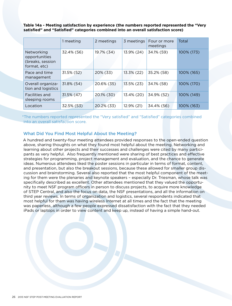**Table 14a - Meeting satisfaction by experience (the numbers reported represented the "Very satisfied" and "Satisfied" categories combined into an overall satisfaction score)**

|                                                                 | 1 meeting     | 2 meetings | 3 meetings | Four or more<br>meetings | Total      |
|-----------------------------------------------------------------|---------------|------------|------------|--------------------------|------------|
| Networking<br>opportunities<br>(breaks, session<br>format, etc) | 32.4% (56)    | 19.7% (34) | 13.9% (24) | 34.1% (59)               | 100% (173) |
| Pace and time<br>management                                     | 31.5% (52)    | 20% (33)   | 13.3% (22) | 35.2% (58)               | 100% (165) |
| Overall organiza-<br>tion and logistics                         | 31.8% (54)    | 20.6% (35) | 13.5% (23) | 34.1% (58)               | 100% (170) |
| <b>Facilities and</b><br>sleeping rooms                         | $31.5\%$ (47) | 20.1% (30) | 13.4% (20) | 34.9% (52)               | 100% (149) |
| Location                                                        | 32.5% (53)    | 20.2% (33) | 12.9% (21) | 34.4% (56)               | 100% (163) |

\*The numbers reported represented the "Very satisfied" and "Satisfied" categories combined into an overall satisfaction score.

# What Did You Find Most Helpful About the Meeting?

A hundred and twenty-four meeting attendees provided responses to the open-ended question above, sharing thoughts on what they found most helpful about the meeting. Networking and learning about other projects and their successes and challenges were cited by many participants as very helpful. Also frequently mentioned were sharing of best practices and effective strategies for programming, project management and evaluation, and the chance to generate ideas. Numerous attendees liked the poster sessions in particular in terms of format, content, and presentation, but also the breakout sessions, because these allowed for smaller group discussion and brainstorming. Several also reported that the most helpful component of the meeting for them were the plenaries and keynote speakers – especially Dr. Triesman, whose talk was specifically described as excellent. Other attendees mentioned that they valued the opportunity to meet NSF program officers in person to discuss projects, to acquire more knowledge of STEP Central, and also the focus on data, the NSF presentations, and all the information on third year reviews. In terms of organization and logistics, several respondents indicated that most helpful for them was having wireless Internet at all times and the fact that the meeting was paperless, although a few people expressed dissatisfaction with the fact that they needed iPads or laptops in order to view content and keep up, instead of having a simple hand-out.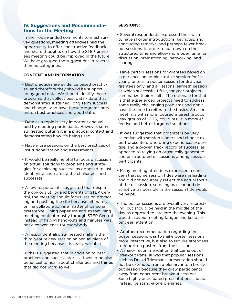# **IV. Suggestions and Recommendations for the Meeting**

In their open-ended comments to most survey questions, meeting attendees had the opportunity to offer constructive feedback and share thoughts on how the STEP grantees meeting could be improved in the future. We have grouped the suggestions in several themed categories:

# **CONTENT AND INFORMATION**

- Best practices are evidence based practices, and therefore they should be supported by good data. We should identify those programs that collect best data - data that demonstrates sustained, long-term success and change - and have those programs present on best practices and good data.
- Data as a topic is very important and valued by meeting participants. However, some suggested putting it in a practical context and demonstrating how it's being used.
- Have more sessions on the best practices of institutionalization and assessments.
- It would be really helpful to focus discussion on actual solutions to problems and strategies for achieving success, as opposed to just identifying and naming the challenges and successes.
- A few respondents suggested that despite the obvious utility and benefits of STEP Central, the meeting should focus less on promoting and pushing the site because ultimately, online collaboration is a matter of personal preference. Going paperless and streamlining meeting content mostly through STEP Central instead of having hand-outs and minutes was not a convenience for everybody.
- A respondent also suggested making the third-year review session an annual piece of the meeting because it is really valuable.
- Others suggested that in addition to best practices and success stories, it would be also beneficial to hear about challenges and things that did not work so well.

# **SESSIONS:**

- Several respondents expressed their wish to have shorter introductions, keynotes, and concluding remarks, and perhaps fewer breakout sessions, in order to cut down on the structured time and allow more open time for discussion, brainstorming, networking, and sharing.
- Have certain sessions for grantees based on experience: an administrative session for 1st year grantees; a poster session for 3rd year grantees only; and a "lessons learned" session at which successful fifth-year year projects summarize their results. The rationale for that is that experienced projects need to address some really challenging problems and don't have the time to reiterate the basics. Smaller meetings with more focused interest groups (say groups of 10-15) could result in more effective and better targeted solutions.
- It was suggested that organizers be very selective with session leaders and choose expert presenters who bring experience, expertise, and a proven track record of success, as opposed to relying on organically generated and unstructured discussions among session participants.
- Many meeting attendees expressed a concern that some session titles were misleading and did not accurately reflect the actual focus of the discussion, so being as clear and descriptive as possible in the session title would be helpful.
- The poster sessions are overall very interesting, but should be held in the middle of the day as opposed to late into the evening. This would in avoid meeting fatigue and keep attendees' attention.
- Another recommendation regarding the poster sessions was to make poster sessions more interactive, but also to require attendees to report on posters from the session.
- A major recommendation that came out of Breakout Panel III was that popular sessions such as Dr. Uri Triesman's presentation should not be extended from a plenary into a breakout session because they draw participants away from concurrent breakout sessions. Such highly anticipated presentations should instead be stand-alone plenaries.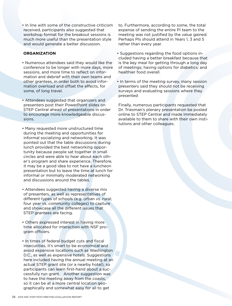• In line with some of the constructive criticism received, participants also suggested that workshop format for the breakout sessions is much more useful than the presentation style and would generate a better discussion.

# **ORGANIZATION**

- Numerous attendees said they would like the conference to be longer with more days, more sessions, and more time to reflect on information and debrief with their own teams and other grantees, in order both to avoid information overload and offset the effects, for some, of long travel.
- Attendees suggested that organizers and presenters post their PowerPoint slides on STEP Central ahead of presentations in order to encourage more knowledgeable discussions.
- Many requested more unstructured time during the meeting and opportunities for informal socializing and networking. It was pointed out that the table discussions during lunch provided the best networking opportunity because people sat together in small circles and were able to hear about each other's program and share experience. Therefore, it may be a good idea to not have a luncheon presentation but to leave the time at lunch for informal or minimally moderated networking and discussions around the tables.
- Attendees suggested having a diverse mix of presenters, as well as representatives of different types of schools (e.g. urban vs. rural; four year vs. community colleges) to capture and showcase all the different issues that STEP grantees are facing.
- Others expressed interest in having more time allocated for interaction with NSF program officers.
- In times of federal budget cuts and fiscal insecurities, it's smart to be economical and avoid expensive locations such as Washington D.C., as well as expensive hotels. Suggestions here included having the annual meeting at an actual STEP grant site (or a nearby hotel), so participants can learn first-hand about a successfully run grant. Another suggestion was to have the meeting away from the coasts, so it can be at a more central location geographically and somewhat easy for all to get

to. Furthermore, according to some, the total expense of sending the entire PI team to the meeting was not justified by the value gained. Perhaps PIs should attend in Years 1, 3 and 5 rather than every year.

- Suggestions regarding the food options included having a better breakfast because that is the key meal for getting through a long day of meetings; having options for diabetics; and healthier food overall.
- In terms of the meeting survey, many session presenters said they should not be receiving surveys and evaluating sessions where they presented

Finally, numerous participants requested that Dr. Triesman's plenary presentation be posted online to STEP Central and made immediately available to them to share with their own institutions and other colleagues.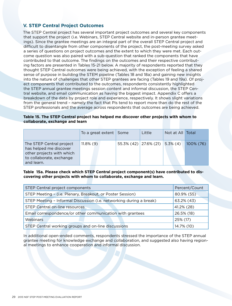# **V. STEP Central Project Outcomes**

The STEP Central project has several important project outcomes and several key components that support the project (i.e. Webinars, STEP Central website and in-person grantee meetings). Since the grantee meetings are an integral part of the overall STEP Central project and difficult to disentangle from other components of the project, the post-meeting survey asked a series of questions on project outcomes and the extent to which they were met. Each outcome question was also paired with a sub-question that ranked the components that have contributed to that outcome. The findings on the outcomes and their respective contributing factors are presented in Tables 15-21 below. A majority of respondents reported that they thought STEP Central outcomes were being achieved, with the exception of feeling a shared sense of purpose in building the STEM pipeline (Tables 18 and 18a) and gaining new insights into the nature of challenges that other STEP grantees are facing (Tables 19 and 19a). Of project components that contributed to the outcomes, respondents consistently highlighted the STEP annual grantee meetings session content and informal discussion, the STEP Central website, and email communication as having the biggest impact. Appendix C offers a breakdown of the data by project role and experience, respectively. It shows slight variations from the general trend – namely the fact that PIs tend to report more than do the rest of the STEP professionals and the average across respondents that outcomes are being achieved.

# **Table 15. The STEP Central project has helped me discover other projects with whom to collaborate, exchange and learn**

|                                                                                                                           | To a great extent Some | Little                            | Not at All Total |           |
|---------------------------------------------------------------------------------------------------------------------------|------------------------|-----------------------------------|------------------|-----------|
| The STEP Central project<br>has helped me discover<br>other projects with which<br>to collaborate, exchange<br>and learn. | $11.8\%$ (9)           | $55.3\%$ (42) 27.6% (21) 5.3% (4) |                  | 100% (76) |

# **Table 15a. Please check which STEP Central project component(s) have contributed to discovering other projects with whom to collaborate, exchange and learn.**

| STEP Central project components                                     | Percent/Count |  |
|---------------------------------------------------------------------|---------------|--|
| STEP Meeting - (i.e. Plenary, Breakout, or Poster Session)          | 80.9% (55)    |  |
| STEP Meeting - Informal Discussion (i.e. networking during a break) | 63.2% (43)    |  |
| STEP Central on-line resources                                      | 41.2% (28)    |  |
| Email correspondence/or other communication with grantees           | 26.5% (18)    |  |
| Webinars                                                            | 25% (17)      |  |
| STEP Central working groups and on-line discussions                 | 14.7% (10)    |  |

In additional open-ended comments, respondents stressed the importance of the STEP annual grantee meeting for knowledge exchange and collaboration, and suggested also having regional meetings to enhance cooperation and informal discussion.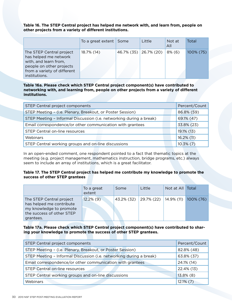**Table 16. The STEP Central project has helped me network with, and learn from, people on other projects from a variety of different institutions.**

|                                                                                                                                                        | To a great extent Some | Little                | Not at<br>All | Total        |
|--------------------------------------------------------------------------------------------------------------------------------------------------------|------------------------|-----------------------|---------------|--------------|
| The STEP Central project<br>has helped me network<br>with, and learn from,<br>people on other projects<br>from a variety of different<br>institutions. | 18.7% (14)             | 46.7% (35) 26.7% (20) | $8\%$ (6)     | $100\%$ (75) |

**Table 16a. Please check which STEP Central project component(s) have contributed to networking with, and learning from, people on other projects from a variety of different institutions.**

| STEP Central project components                                     | Percent/Count |
|---------------------------------------------------------------------|---------------|
| STEP Meeting - (i.e. Plenary, Breakout, or Poster Session)          | 86.8% (59)    |
| STEP Meeting - Informal Discussion (i.e. networking during a break) | 69.1% (47)    |
| Email correspondence/or other communication with grantees           | 33.8% (23)    |
| STEP Central on-line resources                                      | 19.1% (13)    |
| Webinars                                                            | 16.2% (11)    |
| STEP Central working groups and on-line discussions                 | $10.3\%$ (7)  |

In an open-ended comment, one respondent pointed to a fact that thematic topics at the meeting (e.g. project management, mathematics instruction, bridge programs, etc.) always seem to include an array of institutions, which is a great facilitator.

# **Table 17. The STEP Central project has helped me contribute my knowledge to promote the success of other STEP grantees**

|                                                                                                                           | To a great<br>extent | Some | Little                                     | Not at All Total |  |
|---------------------------------------------------------------------------------------------------------------------------|----------------------|------|--------------------------------------------|------------------|--|
| The STEP Central project<br>has helped me contribute<br>my knowledge to promote<br>the success of other STEP<br>grantees. | $12.2\%$ (9)         |      | 43.2% (32) 29.7% (22) 14.9% (11) 100% (76) |                  |  |

**Table 17a. Please check which STEP Central project component(s) have contributed to sharing your knowledge to promote the success of other STEP grantees.**

| STEP Central project components                                     | Percent/Count |
|---------------------------------------------------------------------|---------------|
| STEP Meeting - (i.e. Plenary, Breakout, or Poster Session)          | 82.8% (48)    |
| STEP Meeting - Informal Discussion (i.e. networking during a break) | 63.8% (37)    |
| Email correspondence/or other communication with grantees           | 24.1% (14)    |
| STEP Central on-line resources                                      | 22.4% (13)    |
| STEP Central working groups and on-line discussions                 | $13.8\%$ (8)  |
| Webinars                                                            | $12.1\%$ (7)  |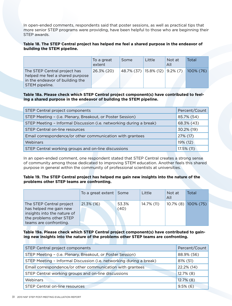In open-ended comments, respondents said that poster sessions, as well as practical tips that more senior STEP programs were providing, have been helpful to those who are beginning their STEP awards.

# **Table 18. The STEP Central project has helped me feel a shared purpose in the endeavor of building the STEM pipeline.**

|                                                                                                                      | To a great<br>extent | Some                              | Little | Not at<br>All | Total     |
|----------------------------------------------------------------------------------------------------------------------|----------------------|-----------------------------------|--------|---------------|-----------|
| The STEP Central project has<br>helped me feel a shared purpose<br>in the endeavor of building the<br>STEM pipeline. | 26.3% (20)           | $48.7\%$ (37) 15.8% (12) 9.2% (7) |        |               | 100% (76) |

**Table 18a. Please check which STEP Central project component(s) have contributed to feeling a shared purpose in the endeavor of building the STEM pipeline.**

| STEP Central project components                                     | Percent/Count |
|---------------------------------------------------------------------|---------------|
| STEP Meeting - (i.e. Plenary, Breakout, or Poster Session)          | 85.7% (54)    |
| STEP Meeting - Informal Discussion (i.e. networking during a break) | 68.3% (43)    |
| STEP Central on-line resources                                      | 30.2% (19)    |
| Email correspondence/or other communication with grantees           | 27% (17)      |
| Webinars                                                            | 19% (12)      |
| STEP Central working groups and on-line discussions                 | 17.5% (11)    |

In an open-ended comment, one respondent stated that STEP Central creates a strong sense of community among those dedicated to improving STEM education. Another feels this shared purpose in general within the community of professional scientists at universities.

# **Table 19. The STEP Central project has helped me gain new insights into the nature of the problems other STEP teams are confronting.**

|                                                                                                                                        | To a great extent Some |               | Little     | Not at<br>All | Total               |
|----------------------------------------------------------------------------------------------------------------------------------------|------------------------|---------------|------------|---------------|---------------------|
| The STEP Central project<br>has helped me gain new<br>insights into the nature of<br>the problems other STEP<br>teams are confronting. | 21.3% (16)             | 53.3%<br>(40) | 14.7% (11) |               | 10.7% (8) 100% (75) |

# **Table 19a. Please check which STEP Central project component(s) have contributed to gaining new insights into the nature of the problems other STEP teams are confronting.**

| STEP Central project components                                     | Percent/Count |
|---------------------------------------------------------------------|---------------|
| STEP Meeting - (i.e. Plenary, Breakout, or Poster Session)          | 88.9% (56)    |
| STEP Meeting - Informal Discussion (i.e. networking during a break) | 81% (51)      |
| Email correspondence/or other communication with grantees           | 22.2% (14)    |
| STEP Central working groups and on-line discussions                 | $12.7\%$ (8)  |
| Webinars                                                            | $12.7\%$ (8)  |
| STEP Central on-line resources                                      | $9.5\%$ (6)   |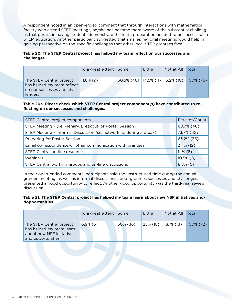A respondent noted in an open-ended comment that through interactions with mathematics faculty who attend STEP meetings, he/she has become more aware of the substantial challenges that persist in having students demonstrate the math preparation needed to be successful in STEM education. Another participant suggested that smaller, regional meetings would help in gaining perspective on the specific challenges that other local STEP grantees face.

# **Table 20. The STEP Central project has helped my team reflect on our successes and challenges.**

|                                                                                                 | To a great extent Some |                                                  | Little | Not at All | Total |
|-------------------------------------------------------------------------------------------------|------------------------|--------------------------------------------------|--------|------------|-------|
| The STEP Central project<br>has helped my team reflect<br>on our successes and chal-<br>lenges. | $11.8\%$ (9)           | 60.5% (46)   14.5% (11)   13.2% (10)   100% (76) |        |            |       |

# **Table 20a. Please check which STEP Central project component(s) have contributed to reflecting on our successes and challenges.**

| STEP Central project components                                     | Percent/Count |
|---------------------------------------------------------------------|---------------|
| STEP Meeting - (i.e. Plenary, Breakout, or Poster Session)          | 80.7% (46)    |
| STEP Meeting - Informal Discussion (i.e. networking during a break) | 73.7% (42)    |
| Preparing for Poster Session                                        | 63.2% (36)    |
| Email correspondence/or other communication with grantees           | $21.1\%$ (12) |
| STEP Central on-line resources                                      | 14% (8)       |
| Webinars                                                            | $10.5\%$ (6)  |
| STEP Central working groups and on-line discussions                 | $8.8\%$ (5)   |

In their open-ended comments, participants said the unstructured time during the annual grantee meeting, as well as informal discussions about grantees successes and challenges, presented a good opportunity to reflect. Another good opportunity was the third-year review discussion.

# **Table 21. The STEP Central project has helped my team learn about new NSF initiatives anddopportunities.**

|                                                                                                         | To a great extent Some |          | Little   | Not at All | Total     |
|---------------------------------------------------------------------------------------------------------|------------------------|----------|----------|------------|-----------|
| The STEP Central project<br>has helped my team learn<br>about new NSF initiatives<br>and opportunities. | $6.9\%$ (5)            | 50% (36) | 25% (18) | 18.1% (13) | 100% (72) |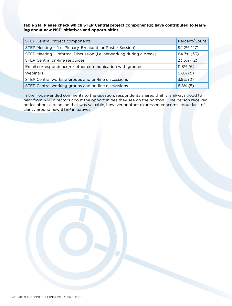**Table 21a. Please check which STEP Central project component(s) have contributed to learning about new NSF initiatives and opportunities.**

| STEP Central project components                                     | Percent/Count |
|---------------------------------------------------------------------|---------------|
| STEP Meeting - (i.e. Plenary, Breakout, or Poster Session)          | 92.2% (47)    |
| STEP Meeting - Informal Discussion (i.e. networking during a break) | 64.7% (33)    |
| STEP Central on-line resources                                      | 23.5% (12)    |
| Email correspondence/or other communication with grantees           | $11.8\%$ (6)  |
| Webinars                                                            | $9.8\%$ (5)   |
| STEP Central working groups and on-line discussions                 | $3.9\%$ (2)   |
| STEP Central working groups and on-line discussions                 | $8.8\%$ (5)   |

In their open-ended comments to the question, respondents shared that it is always good to hear from NSF directors about the opportunities they see on the horizon. One person received notice about a deadline that was valuable, however another expressed concerns about lack of clarity around new STEP initiatives.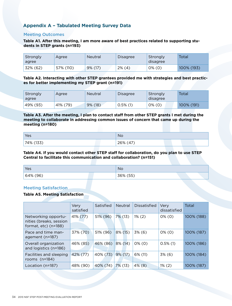# **Appendix A – Tabulated Meeting Survey Data**

# Meeting Outcomes

**Table A1. After this meeting, I am more aware of best practices related to supporting students in STEP grants (n=193)**

| Strongly<br>agree | Agree     | <b>Neutral</b> | <b>Disagree</b> | Strongly<br>disagree | Total      |
|-------------------|-----------|----------------|-----------------|----------------------|------------|
| 32% (62)          | 57% (110) | 9% (17)        | $2\%$ (4)       | $0\%$ (0)            | 100% (193) |

**Table A2. Interacting with other STEP grantees provided me with strategies and best practices for better implementing my STEP grant (n=191)**

| Strongly<br>agree | Agree    | <b>Neutral</b> | Disagree    | Strongly<br>disagree | Total      |
|-------------------|----------|----------------|-------------|----------------------|------------|
| 49% (93)          | 41% (79) | 9% (18)        | $0.5\%$ (1) | $0\%$ (0)            | 100% (191) |

#### **Table A3. After the meeting, I plan to contact staff from other STEP grants I met during the meeting to collaborate in addressing common issues of concern that came up during the meeting (n=180)**

| Yes   | <b>No</b>     |  |  |
|-------|---------------|--|--|
| (177) | $A^{\dagger}$ |  |  |
| 74%   | 26%           |  |  |
| ၂၁၁၂  | $\tau$        |  |  |

# **Table A4. If you would contact other STEP staff for collaboration, do you plan to use STEP Central to facilitate this communication and collaboration? (n=151)**

| Yes      | <b>No</b> |
|----------|-----------|
| 64% (96) | 36% (55)  |

# Meeting Satisfaction

# **Table A5. Meeting Satisfaction**

|                                                                               | Very<br>satisfied | Satisfied | <b>Neutral</b> | Dissatisfied | Very<br>dissatisfied | Total      |
|-------------------------------------------------------------------------------|-------------------|-----------|----------------|--------------|----------------------|------------|
| Networking opportu-<br>nities (breaks, session<br>format, $etc$ ) ( $n=188$ ) | 41% (77)          | 51% (96)  | 7% (13)        | $1\%$ (2)    | $0\%$ (0)            | 100% (188) |
| Pace and time man-<br>agement (n=187)                                         | 37% (70)          | 51% (96)  | $8\%$ (15)     | 3% (6)       | $0\%$ (0)            | 100% (187) |
| Overall organization<br>and logistics (n=186)                                 | 46% (85)          | 46% (86)  | 8% (14)        | $0\%$ (0)    | $0.5\%$ (1)          | 100% (186) |
| Facilities and sleeping<br>rooms $(n=184)$                                    | 42% (77)          | 40% (73)  | $9\%$ (17)     | 6% (11)      | 3% (6)               | 100% (184) |
| Location (n=187)                                                              | 48% (90)          | 40% (74)  | 7% (13)        | $4\%$ (8)    | $1\%$ (2)            | 100% (187) |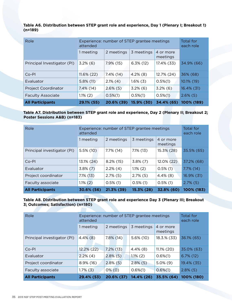**Table A6. Distribution between STEP grant role and experience, Day 1 (Plenary I; Breakout 1) (n=189)**

| Role                        | Experience: number of STEP grantee meetings<br>attended | <b>Total for</b><br>each role |              |                       |               |
|-----------------------------|---------------------------------------------------------|-------------------------------|--------------|-----------------------|---------------|
|                             | 1 meeting                                               | 2 meetings                    | 3 meetings   | 4 or more<br>meetings |               |
| Principal Investigator (PI) | $3.2\%$ (6)                                             | $7.9\%$ (15)                  | $6.3\%$ (12) | 17.4% (33)            | 34.9% (66)    |
| $Co-PI$                     | $11.6\%$ (22)                                           | $7.4\%$ (14)                  | $4.2\%$ (8)  | 12.7% (24)            | 36% (68)      |
| Evaluator                   | $5.8\%$ (11)                                            | $2.1\%$ (4)                   | $1.6\%$ (3)  | $0.5\%(1)$            | 10.1% (19)    |
| <b>Project Coordinator</b>  | $7.4\%$ (14)                                            | $2.6\%$ (5)                   | $3.2\%$ (6)  | $3.2\%$ (6)           | $16.4\%$ (31) |
| <b>Faculty Associate</b>    | $1.1\%$ (2)                                             | $0.5\%(1)$                    | $0.5\%(1)$   | $0.5\%(1)$            | $2.6\%$ (5)   |
| <b>All Participants</b>     | 29.1% (55)                                              | 20.6% (39)                    | 15.9% (30)   | 34.4% (65)            | 100% (189)    |

# **Table A7. Distribution between STEP grant role and experience, Day 2 (Plenary II; Breakout 2; Poster Sessions A&B) (n=183)**

| Role                        | Experience: number of STEP grantee meetings<br>attended | Total for<br>each role |              |                       |              |
|-----------------------------|---------------------------------------------------------|------------------------|--------------|-----------------------|--------------|
|                             | 1 meeting                                               | 2 meetings             | 3 meetings   | 4 or more<br>meetings |              |
| Principal investigator (PI) | $5.5\%$ (10)                                            | $7.7\%$ (14)           | $7.1\%$ (13) | 15.3% (28)            | 35.5% (65)   |
| $Co-PI$                     | 13.1% (24)                                              | $8.2\%$ (15)           | $3.8\%$ (7)  | $12.0\%$ (22)         | 37.2% (68)   |
| Evaluator                   | $3.8\%$ (7)                                             | $2.2\%$ (4)            | $1.1\%$ (2)  | $0.5\%$ (1)           | $7.7\%$ (14) |
| Project coordinator         | $7.1\%$ (13)                                            | $2.7\%$ (5)            | $2.7\%$ (5)  | $4.4\%$ (8)           | 16.9% (31)   |
| Faculty associate           | $1.1\%$ (2)                                             | $0.5\%$ (1)            | $0.5\%$ (1)  | $0.5\%$ (1)           | $2.7\%$ (5)  |
| <b>All Participants</b>     | 30.6% (56)                                              | 21.3% (39)             | 15.3% (28)   | 32.8% (60)            | 100% (183)   |

# **Table A8. Distribution between STEP grant role and experience Day 3 (Plenary III; Breakout 3; Outcomes; Satisfaction) (n=180)**

| Role                        | Experience: number of STEP grantee meetings<br>attended | Total for<br>each role |              |                       |              |
|-----------------------------|---------------------------------------------------------|------------------------|--------------|-----------------------|--------------|
|                             | 1 meeting                                               | 2 meetings             | 3 meetings   | 4 or more<br>meetings |              |
| Principal investigator (PI) | $4.4\%$ (8)                                             | $7.8\%$ (14)           | $5.6\%$ (10) | 18.3.% (33)           | 36.1% (65)   |
| $Co-PI$                     | $12.2\% (22)$                                           | $7.2\%$ (13)           | $4.4\%$ (8)  | $11.1\% (20)$         | 35.0% (63)   |
| Evaluator                   | $2.2\%$ (4)                                             | $2.8\%$ (5)            | $1.1\%$ (2)  | $0.6\%(1)$            | $6.7\%$ (12) |
| Project coordinator         | $8.9\%$ (16)                                            | $2.8\%$ (5)            | $2.8\%$ (5)  | $5.0\%$ (9)           | 19.4% (35)   |
| Faculty associate           | $1.7\%$ (3)                                             | $0\%$ (0)              | $0.6\%$ (1)  | $0.6\%(1)$            | $2.8\%$ (5)  |
| <b>All Participants</b>     | 29.4% (53)                                              | 20.6% (37)             | 14.4% (26)   | 35.5% (64)            | 100% (180)   |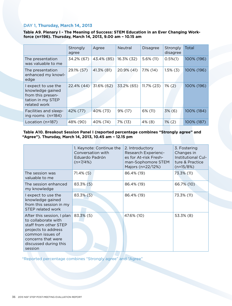# DAY 1, **Thursday, March 14, 2013**

**Table A9. Plenary I - The Meaning of Success: STEM Education in an Ever Changing Workforce (n=196). Thursday, March 14, 2013, 9.00 am – 10.15 am**

|                                                                                                   | Strongly<br>agree | Agree      | <b>Neutral</b> | <b>Disagree</b> | Strongly<br>disagree | Total      |
|---------------------------------------------------------------------------------------------------|-------------------|------------|----------------|-----------------|----------------------|------------|
| The presentation<br>was valuable to me                                                            | 34.2% (67)        | 43.4% (85) | 16.3% (32)     | $5.6\%$ (11)    | $0.5\%(1)$           | 100% (196) |
| The presentation<br>enhanced my knowl-<br>edge                                                    | 29.1% (57)        | 41.3% (81) | 20.9% (41)     | $7.1\%$ (14)    | $1.5\%$ (3)          | 100% (196) |
| I expect to use the<br>knowledge gained<br>from this presen-<br>tation in my STEP<br>related work | 22.4% (44)        | 31.6% (62) | 33.2% (65)     | $11.7\%$ (23)   | $1\%$ (2)            | 100% (196) |
| Facilities and sleep-<br>ing rooms (n=184)                                                        | 42% (77)          | 40% (73)   | 9% (17)        | 6% (11)         | 3% (6)               | 100% (184) |
| Location (n=187)                                                                                  | 48% (90)          | 40% (74)   | 7% (13)        | 4% (8)          | $1\%$ (2)            | 100% (187) |

# **Table A10. Breakout Session Panel I (reported percentage combines "Strongly agree" and "Agree"). Thursday, March 14, 2013, 10.45 am – 12.15 pm**

|                                                                                                                                                                                 | 1. Keynote: Continue the<br>Conversation with<br>Eduardo Padrón<br>$(n=7/4%)$ | 2. Introductory<br>Research Experienc-<br>es for At-risk Fresh-<br>man-Sophomore STEM<br>Majors (n=22/12%) | 3. Fostering<br>Changes in<br>Institutional Cul-<br>ture & Practice<br>$(n=15/8%)$ |
|---------------------------------------------------------------------------------------------------------------------------------------------------------------------------------|-------------------------------------------------------------------------------|------------------------------------------------------------------------------------------------------------|------------------------------------------------------------------------------------|
| The session was<br>valuable to me                                                                                                                                               | $71.4\%$ (5)                                                                  | 86.4% (19)                                                                                                 | 73.3% (11)                                                                         |
| The session enhanced<br>my knowledge                                                                                                                                            | 83.3% (5)                                                                     | 86.4% (19)                                                                                                 | 66.7% (10)                                                                         |
| I expect to use the<br>knowledge gained<br>from this session in my<br>STEP related work                                                                                         | 83.3% (5)                                                                     | 86.4% (19)                                                                                                 | 73.3% (11)                                                                         |
| After this session, I plan<br>to collaborate with<br>staff from other STEP<br>projects to address<br>common issues of<br>concerns that were<br>discussed during this<br>session | 83.3% (5)                                                                     | 47.6% (10)                                                                                                 | 53.3% (8)                                                                          |

\*Reported percentage combines "Strongly agree" and "Agree"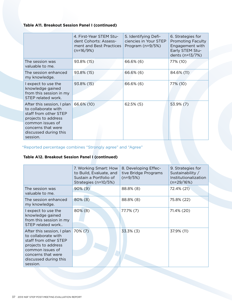## **Table A11. Breakout Session Panel I (continued)**

|                                                                                                                                                                                  | 4. First-Year STEM Stu-<br>dent Cohorts: Assess-<br>ment and Best Practices<br>$(n=16/9%)$ | 5. Identifying Defi-<br>ciencies in Your STEP<br>Program $(n=9/5%)$ | 6. Strategies for<br><b>Promoting Faculty</b><br>Engagement with<br>Early STEM Stu-<br>dents (n=13/7%) |
|----------------------------------------------------------------------------------------------------------------------------------------------------------------------------------|--------------------------------------------------------------------------------------------|---------------------------------------------------------------------|--------------------------------------------------------------------------------------------------------|
| The session was<br>valuable to me.                                                                                                                                               | 93.8% (15)                                                                                 | 66.6% (6)                                                           | 77% (10)                                                                                               |
| The session enhanced<br>my knowledge.                                                                                                                                            | 93.8% (15)                                                                                 | 66.6% (6)                                                           | 84.6% (11)                                                                                             |
| I expect to use the<br>knowledge gained<br>from this session in my<br>STEP related work.                                                                                         | 93.8% (15)                                                                                 | 66.6% (6)                                                           | 77% (10)                                                                                               |
| After this session, I plan<br>to collaborate with<br>staff from other STEP<br>projects to address<br>common issues of<br>concerns that were<br>discussed during this<br>session. | 66.6% (10)                                                                                 | $62.5\%$ (5)                                                        | 53.9% (7)                                                                                              |

# \*Reported percentage combines "Strongly agree" and "Agree"

## **Table A12. Breakout Session Panel I (continued)**

|                                                                                                                                                                                  | 7. Working Smart: How<br>to Build, Evaluate, and<br>Sustain a Portfolio of<br>Strategies (n=10/5%) | 8. Developing Effec-<br>tive Bridge Programs<br>$(n=9/5%)$ | 9. Strategies for<br>Sustainability /<br>Institutionalization<br>$(n=29/16%)$ |
|----------------------------------------------------------------------------------------------------------------------------------------------------------------------------------|----------------------------------------------------------------------------------------------------|------------------------------------------------------------|-------------------------------------------------------------------------------|
| The session was<br>valuable to me.                                                                                                                                               | $90\%$ (9)                                                                                         | 88.8% (8)                                                  | 72.4% (21)                                                                    |
| The session enhanced<br>my knowledge.                                                                                                                                            | $80\%$ (8)                                                                                         | 88.8% (8)                                                  | 75.8% (22)                                                                    |
| I expect to use the<br>knowledge gained<br>from this session in my<br>STEP related work                                                                                          | $80\%$ (8)                                                                                         | $77.7\%$ $(7)$                                             | 71.4% (20)                                                                    |
| After this session, I plan<br>to collaborate with<br>staff from other STEP<br>projects to address<br>common issues of<br>concerns that were<br>discussed during this<br>session. | $70\%$ (7)                                                                                         | 33.3% (3)                                                  | 37.9% (11)                                                                    |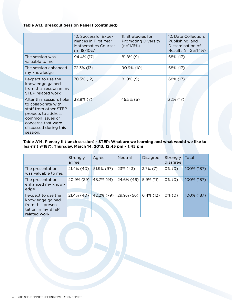#### **Table A13. Breakout Session Panel I (continued)**

|                                                                                                                                                                                  | 10. Successful Expe-<br>riences in First Year<br><b>Mathematics Courses</b><br>$(n=18/10%)$ | 11. Strategies for<br><b>Promoting Diversity</b><br>$(n=11/6%)$ | 12. Data Collection,<br>Publishing, and<br>Dissemination of<br>Results (n=25/14%) |
|----------------------------------------------------------------------------------------------------------------------------------------------------------------------------------|---------------------------------------------------------------------------------------------|-----------------------------------------------------------------|-----------------------------------------------------------------------------------|
| The session was<br>valuable to me.                                                                                                                                               | 94.4% (17)                                                                                  | $81.8\%$ (9)                                                    | 68% (17)                                                                          |
| The session enhanced<br>my knowledge.                                                                                                                                            | 72.3% (13)                                                                                  | 90.9% (10)                                                      | 68% (17)                                                                          |
| I expect to use the<br>knowledge gained<br>from this session in my<br>STEP related work.                                                                                         | 70.5% (12)                                                                                  | $81.9\%$ (9)                                                    | 68% (17)                                                                          |
| After this session, I plan<br>to collaborate with<br>staff from other STEP<br>projects to address<br>common issues of<br>concerns that were<br>discussed during this<br>session. | 38.9% (7)                                                                                   | 45.5% (5)                                                       | 32% (17)                                                                          |

#### **Table A14. Plenary II (lunch session) - STEP: What are we learning and what would we like to learn? (n=187). Thursday, March 14, 2013, 12.45 pm – 1.45 pm**

|                                                                                                    | Strongly<br>agree | Agree      | <b>Neutral</b> | <b>Disagree</b> | Strongly<br>disagree | Total       |
|----------------------------------------------------------------------------------------------------|-------------------|------------|----------------|-----------------|----------------------|-------------|
| The presentation<br>was valuable to me.                                                            | 21.4% (40)        | 51.9% (97) | 23% (43)       | $3.7\%$ (7)     | $0\%$ (0)            | 100% (187)  |
| The presentation<br>enhanced my knowl-<br>edge.                                                    | 20.9% (39)        | 48.7% (91) | 24.6% (46)     | $5.9\%$ (11)    | $0\%$ (0)            | 100% (187). |
| I expect to use the<br>knowledge gained<br>from this presen-<br>tation in my STEP<br>related work. | 21.4% (40)        | 42.2% (79) | 29.9% (56)     | $6.4\%$ (12)    | $0\%$ (0)            | 100% (187). |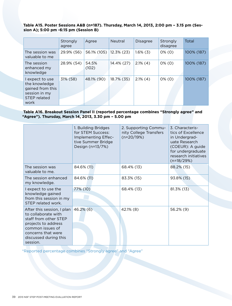#### **Table A15. Poster Sessions A&B (n=187). Thursday, March 14, 2013, 2:00 pm – 3.15 pm (Session A); 5:00 pm -6:15 pm (Session B)**

|                                                                                               | Strongly<br>agree | Agree          | <b>Neutral</b> | <b>Disagree</b> | Strongly<br>disagree | Total      |
|-----------------------------------------------------------------------------------------------|-------------------|----------------|----------------|-----------------|----------------------|------------|
| The session was<br>valuable to me                                                             | 29.9% (56)        | 56.1% (105)    | $12.3\%$ (23)  | $1.6\%$ (3)     | $0\%$ (0)            | 100% (187) |
| The session<br>enhanced my<br>knowledge                                                       | 28.9% (54)        | 54.5%<br>(102) | 14.4% (27)     | $2.1\%$ (4)     | $0\%$ (0)            | 100% (187) |
| I expect to use<br>the knowledge<br>gained from this<br>session in my<br>STEP related<br>work | 31% (58)          | 48.1% (90)     | 18.7% (35)     | $2.1\%$ (4)     | $0\%$ (0)            | 100% (187) |

#### **Table A16. Breakout Session Panel II (reported percentage combines "Strongly agree" and "Agree"). Thursday, March 14, 2013, 3.30 pm – 5.00 pm**

|                                                                                                                                                                                  | 1. Building Bridges<br>for STEM Success:<br>Implementing Effec-<br>tive Summer Bridge<br>Design (n=13/7%) | 2. Supporting Commu-<br>nity College Transfers<br>$(n=20/19%)$ | 3. Characteris-<br>tics of Excellence<br>in Undergrad-<br>uate Research<br>(COEUR): A guide<br>for undergraduate<br>research initiatives<br>$(n=18/29%)$ |
|----------------------------------------------------------------------------------------------------------------------------------------------------------------------------------|-----------------------------------------------------------------------------------------------------------|----------------------------------------------------------------|----------------------------------------------------------------------------------------------------------------------------------------------------------|
| The session was<br>valuable to me.                                                                                                                                               | 84.6% (11)                                                                                                | 68.4% (13)                                                     | 88.2% (15)                                                                                                                                               |
| The session enhanced<br>my knowledge.                                                                                                                                            | 84.6% (11)                                                                                                | 83.3% (15)                                                     | 93.8% (15)                                                                                                                                               |
| I expect to use the<br>knowledge gained<br>from this session in my<br>STEP related work.                                                                                         | 77% (10)                                                                                                  | 68.4% (13)                                                     | 81.3% (13)                                                                                                                                               |
| After this session, I plan<br>to collaborate with<br>staff from other STEP<br>projects to address<br>common issues of<br>concerns that were<br>discussed during this<br>session. | $46.2\%$ (6)                                                                                              | 42.1% (8)                                                      | 56.2% (9)                                                                                                                                                |

\*Reported percentage combines "Strongly agree" and "Agree"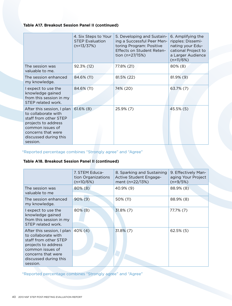## **Table A17. Breakout Session Panel II (continued)**

|                                                                                                                                                                                  | 4. Six Steps to Your<br><b>STEP Evaluation</b><br>$(n=13/37%)$ | 5. Developing and Sustain-<br>ing a Successful Peer Men-<br>toring Program: Positive<br>Effects on Student Reten-<br>tion (n=27/15%) | 6. Amplifying the<br>ripples: Dissemi-<br>nating your Edu-<br>cational Project to<br>a Larger Audience<br>$(n=11/6%)$ |
|----------------------------------------------------------------------------------------------------------------------------------------------------------------------------------|----------------------------------------------------------------|--------------------------------------------------------------------------------------------------------------------------------------|-----------------------------------------------------------------------------------------------------------------------|
| The session was<br>valuable to me.                                                                                                                                               | 92.3% (12)                                                     | 77.8% (21)                                                                                                                           | $80\%$ (8)                                                                                                            |
| The session enhanced<br>my knowledge.                                                                                                                                            | 84.6% (11)                                                     | 81.5% (22)                                                                                                                           | 81.9% (9)                                                                                                             |
| I expect to use the<br>knowledge gained<br>from this session in my<br>STEP related work.                                                                                         | 84.6% (11)                                                     | 74% (20)                                                                                                                             | 63.7% (7)                                                                                                             |
| After this session, I plan<br>to collaborate with<br>staff from other STEP<br>projects to address<br>common issues of<br>concerns that were<br>discussed during this<br>session. | $61.6\%$ (8)                                                   | 25.9% (7)                                                                                                                            | 45.5% (5)                                                                                                             |

\*Reported percentage combines "Strongly agree" and "Agree"

# **Table A18. Breakout Session Panel II (continued)**

|                                                                                                                                                                                  | 7. STEM Educa-<br>tion Organizations<br>$(n=10/6%)$ | 8. Sparking and Sustaining<br>Active Student Engage-<br>ment (n=22/13%) | 9. Effectively Man-<br>aging Your Project<br>$(n=9/5%)$ |
|----------------------------------------------------------------------------------------------------------------------------------------------------------------------------------|-----------------------------------------------------|-------------------------------------------------------------------------|---------------------------------------------------------|
| The session was<br>valuable to me                                                                                                                                                | $80\%$ (8)                                          | 40.9% (9)                                                               | 88.9% (8)                                               |
| The session enhanced<br>my knowledge.                                                                                                                                            | $90\%$ (9)                                          | 50% (11)                                                                | 88.9% (8)                                               |
| I expect to use the<br>knowledge gained<br>from this session in my<br>STEP related work.                                                                                         | $80\%$ (8)                                          | $31.8\%$ (7)                                                            | 77.7% (7)                                               |
| After this session, I plan<br>to collaborate with<br>staff from other STEP<br>projects to address<br>common issues of<br>concerns that were<br>discussed during this<br>session. | $40\%$ (4)                                          | $31.8\%$ (7)                                                            | $62.5\%$ (5)                                            |

\*Reported percentage combines "Strongly agree" and "Agree"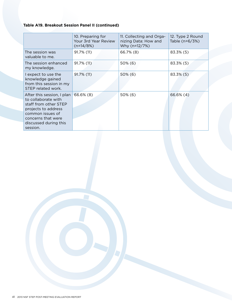## **Table A19. Breakout Session Panel II (continued)**

|                                                                                                                                                                                  | 10. Preparing for<br>Your 3rd Year Review<br>$(n=14/8%)$ | 11. Collecting and Orga-<br>nizing Data: How and<br>Why (n=12/7%) | 12. Type 2 Round<br>Table (n=6/3%) |
|----------------------------------------------------------------------------------------------------------------------------------------------------------------------------------|----------------------------------------------------------|-------------------------------------------------------------------|------------------------------------|
| The session was<br>valuable to me.                                                                                                                                               | 91.7% (11)                                               | 66.7% (8)                                                         | 83.3% (5)                          |
| The session enhanced<br>my knowledge.                                                                                                                                            | 91.7% (11)                                               | 50% (6)                                                           | 83.3% (5)                          |
| I expect to use the<br>knowledge gained<br>from this session in my<br>STEP related work.                                                                                         | 91.7% (11)                                               | $50\%$ (6)                                                        | 83.3% (5)                          |
| After this session, I plan<br>to collaborate with<br>staff from other STEP<br>projects to address<br>common issues of<br>concerns that were<br>discussed during this<br>session. | 66.6% (8)                                                | $50\%$ (6)                                                        | 66.6% (4)                          |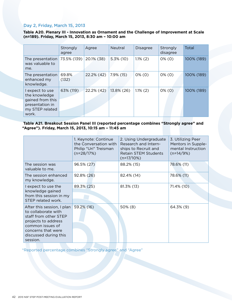#### Day 2, Friday, March 15, 2013

**Table A20. Plenary III - Innovation as Ornament and the Challenge of Improvement at Scale (n=189). Friday, March 15, 2013, 8:30 am – 10:00 am**

|                                                                                                     | Strongly<br>agree | Agree      | <b>Neutral</b> | <b>Disagree</b> | Strongly<br>disagree | Total      |
|-----------------------------------------------------------------------------------------------------|-------------------|------------|----------------|-----------------|----------------------|------------|
| The presentation<br>was valuable to<br>me.                                                          | 73.5% (139)       | 20.1% (38) | $5.3\%$ (10)   | $1.1\%$ (2)     | $0\%$ (0)            | 100% (189) |
| The presentation<br>enhanced my<br>knowledge.                                                       | 69.8%<br>(132)    | 22.2% (42) | 7.9% (15)      | $0\%$ (0)       | $0\%$ (0)            | 100% (189) |
| l expect to use<br>the knowledge<br>gained from this<br>presentation in<br>my STEP related<br>work. | 63% (119)         | 22.2% (42) | 13.8% (26)     | $1.1\%$ (2)     | $0\%$ (0)            | 100% (189) |

#### **Table A21. Breakout Session Panel III (reported percentage combines "Strongly agree" and "Agree"). Friday, March 15, 2013, 10:15 am – 11:45 am**

|                                                                                                                                                                                  | 1. Keynote: Continue<br>the Conversation with<br>Philip "Uri" Treisman<br>$(n=28/17%)$ | 2. Using Undergraduate<br>Research and Intern-<br>ships to Recruit and<br><b>Retain STEM Students</b><br>$(n=17/10%)$ | 3. Utilizing Peer<br>Mentors in Supple-<br>mental Instruction<br>$(n=14/9%)$ |
|----------------------------------------------------------------------------------------------------------------------------------------------------------------------------------|----------------------------------------------------------------------------------------|-----------------------------------------------------------------------------------------------------------------------|------------------------------------------------------------------------------|
| The session was<br>valuable to me.                                                                                                                                               | 96.5% (27)                                                                             | 88.2% (15)                                                                                                            | 78.6% (11)                                                                   |
| The session enhanced<br>my knowledge.                                                                                                                                            | 92.8% (26)                                                                             | 82.4% (14)                                                                                                            | 78.6% (11)                                                                   |
| I expect to use the<br>knowledge gained<br>from this session in my<br>STEP related work.                                                                                         | 89.3% (25)                                                                             | 81.3% (13)                                                                                                            | 71.4% (10)                                                                   |
| After this session, I plan<br>to collaborate with<br>staff from other STEP<br>projects to address<br>common issues of<br>concerns that were<br>discussed during this<br>session. | 59.2% (16)                                                                             | 50% (8)                                                                                                               | 64.3% (9)                                                                    |

\*Reported percentage combines "Strongly agree" and "Agree"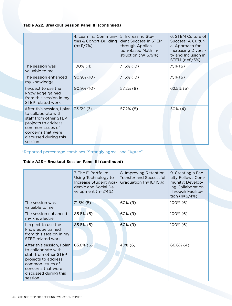## **Table A22. Breakout Session Panel III (continued)**

|                                                                                                                                                                                  | 4. Learning Communi-<br>ties & Cohort-Building<br>$(n=11/7%)$ | 5. Increasing Stu-<br>dent Success in STEM<br>through Applica-<br>tion-Based Math In-<br>struction (n=15/9%) | 6. STEM Culture of<br>Success: A Cultur-<br>al Approach for<br>Increasing Diversi-<br>ty and Inclusion in<br>STEM (n=8/5%) |
|----------------------------------------------------------------------------------------------------------------------------------------------------------------------------------|---------------------------------------------------------------|--------------------------------------------------------------------------------------------------------------|----------------------------------------------------------------------------------------------------------------------------|
| The session was<br>valuable to me.                                                                                                                                               | 100% (11)                                                     | 71.5% (10)                                                                                                   | 75% (6)                                                                                                                    |
| The session enhanced<br>my knowledge.                                                                                                                                            | 90.9% (10)                                                    | 71.5% (10)                                                                                                   | 75% (6)                                                                                                                    |
| I expect to use the<br>knowledge gained<br>from this session in my<br>STEP related work.                                                                                         | 90.9% (10)                                                    | $57.2\%$ (8)                                                                                                 | $62.5\%$ (5)                                                                                                               |
| After this session, I plan<br>to collaborate with<br>staff from other STEP<br>projects to address<br>common issues of<br>concerns that were<br>discussed during this<br>session. | $33.3\%$ (3)                                                  | 57.2% (8)                                                                                                    | $50\%$ (4)                                                                                                                 |

\*Reported percentage combines "Strongly agree" and "Agree"

# **Table A23 – Breakout Session Panel III (continued)**

|                                                                                                                                                                                  | 7. The E-Portfolio:<br>Using Technology to<br>Increase Student Aca-<br>demic and Social De-<br>velopment (n=7/4%) | 8. Improving Retention,<br><b>Transfer and Successful</b><br>Graduation (n=16/10%) | 9. Creating a Fac-<br>ulty Fellows Com-<br>munity: Develop-<br>ing Collaboration<br>Through Facilita-<br>tion ( $n = 6/4%$ ) |
|----------------------------------------------------------------------------------------------------------------------------------------------------------------------------------|-------------------------------------------------------------------------------------------------------------------|------------------------------------------------------------------------------------|------------------------------------------------------------------------------------------------------------------------------|
| The session was<br>valuable to me.                                                                                                                                               | $71.5\%$ (5)                                                                                                      | 60% (9)                                                                            | $100\%$ (6)                                                                                                                  |
| The session enhanced<br>my knowledge.                                                                                                                                            | 85.8% (6)                                                                                                         | $60\%$ (9)                                                                         | $100\%$ (6)                                                                                                                  |
| I expect to use the<br>knowledge gained<br>from this session in my<br>STEP related work.                                                                                         | 85.8% (6)                                                                                                         | 60% (9)                                                                            | $100\%$ (6)                                                                                                                  |
| After this session, I plan<br>to collaborate with<br>staff from other STEP<br>projects to address<br>common issues of<br>concerns that were<br>discussed during this<br>session. | 85.8% (6)                                                                                                         | $40\%$ (6)                                                                         | 66.6% (4)                                                                                                                    |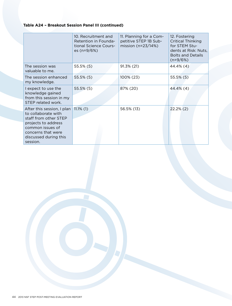## **Table A24 – Breakout Session Panel III (continued)**

|                                                                                                                                                                                  | 10. Recruitment and<br>Retention in Founda-<br>tional Science Cours-<br>es (n=9/6%) | 11. Planning for a Com-<br>petitive STEP 1B Sub-<br>mission ( $n=23/14\%)$ | 12. Fostering<br><b>Critical Thinking</b><br>for STEM Stu-<br>dents at Risk: Nuts,<br><b>Bolts and Details</b><br>$(n=9/6%)$ |
|----------------------------------------------------------------------------------------------------------------------------------------------------------------------------------|-------------------------------------------------------------------------------------|----------------------------------------------------------------------------|------------------------------------------------------------------------------------------------------------------------------|
| The session was<br>valuable to me.                                                                                                                                               | 55.5% (5)                                                                           | 91.3% (21)                                                                 | 44.4% (4)                                                                                                                    |
| The session enhanced<br>my knowledge.                                                                                                                                            | $55.5\%$ (5)                                                                        | 100% (23)                                                                  | $55.5\%$ (5)                                                                                                                 |
| I expect to use the<br>knowledge gained<br>from this session in my<br>STEP related work.                                                                                         | 55.5% (5)                                                                           | 87% (20)                                                                   | 44.4% (4)                                                                                                                    |
| After this session, I plan<br>to collaborate with<br>staff from other STEP<br>projects to address<br>common issues of<br>concerns that were<br>discussed during this<br>session. | $11.1\%$ (1)                                                                        | 56.5% (13)                                                                 | $22.2\%$ (2)                                                                                                                 |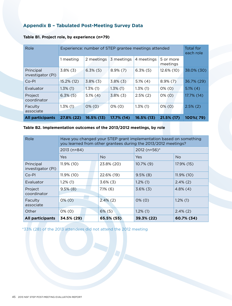# **Appendix B – Tabulated Post-Meeting Survey Data**

| Role                           | Experience: number of STEP grantee meetings attended | Total for<br>each role |             |             |                       |             |
|--------------------------------|------------------------------------------------------|------------------------|-------------|-------------|-----------------------|-------------|
|                                | 1 meeting                                            | 2 meetings             | 3 meetings  | 4 meetings  | 5 or more<br>meetings |             |
| Principal<br>investigator (PI) | $3.8\%$ (3)                                          | $6.3\%$ (5)            | $8.9\%$ (7) | $6.3\%$ (5) | 12.6% (10)            | 38.0% (30)  |
| $Co-PI$                        | 15.2% (12)                                           | $3.8\%$ (3)            | $3.8\%$ (3) | $5.1\%$ (4) | $8.9\%$ (7)           | 36.7% (29)  |
| Evaluator                      | $1.3\%$ (1)                                          | $1.3\%$ (1)            | $1.3\%$ (1) | $1.3\%$ (1) | $0\%$ (0)             | $5.1\%$ (4) |
| Project<br>coordinator         | $6.3\%$ (5)                                          | $5.1\%$ (4)            | $3.8\%$ (3) | $2.5\%$ (2) | $0\%$ (0)             | 17.7% (14)  |
| Faculty<br>associate           | $1.3\%$ (1)                                          | $0\%$ (0)              | $0\%$ (0)   | $1.3\%$ (1) | $0\%$ (0)             | $2.5\%$ (2) |
| <b>All participants</b>        | 27.8% (22)                                           | $16.5\%$ (13)          | 17.7% (14)  | 16.5% (13)  | 21.5% (17)            | 100%(79)    |

#### **Table B1. Project role, by experience (n=79)**

## **Table B2. Implementation outcomes of the 2013/2012 meetings, by role**

| Role                           | Have you changed your STEP grant implementation based on something<br>you learned from other grantees during the 2013/2012 meetings? |  |             |              |                |  |
|--------------------------------|--------------------------------------------------------------------------------------------------------------------------------------|--|-------------|--------------|----------------|--|
|                                | 2013 (n=84)                                                                                                                          |  |             | 2012 (n=56)* |                |  |
|                                | <b>Yes</b>                                                                                                                           |  | No.         | Yes          | N <sub>o</sub> |  |
| Principal<br>investigator (PI) | $11.9\%$ (10)                                                                                                                        |  | 23.8% (20)  | $10.7\%$ (9) | 17.9% (15)     |  |
| Co-PI                          | 11.9% (10)                                                                                                                           |  | 22.6% (19)  | $9.5\%$ (8)  | $11.9\%$ (10)  |  |
| Evaluator                      | $1.2\%$ (1)                                                                                                                          |  | $3.6\%$ (3) | $1.2\%$ (1)  | $2.4\%$ (2)    |  |
| Project<br>coordinator         | $9.5\%$ (8)                                                                                                                          |  | $7.1\%$ (6) | $3.6\%$ (3)  | $4.8\%$ (4)    |  |
| Faculty<br>associate           | $0\%$ (0)                                                                                                                            |  | $2.4\%$ (2) | $0\%$ (0)    | $1.2\%$ (1)    |  |
| Other                          | $0\%$ (0)                                                                                                                            |  | $6\%$ (5)   | $1.2\%$ (1)  | $2.4\%$ (2)    |  |
| <b>All participants</b>        | 34.5% (29)                                                                                                                           |  | 65.5% (55)  | 39.3% (22)   | 60.7% (34)     |  |

\*33% (28) of the 2013 attendees did not attend the 2012 meeting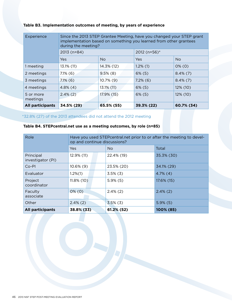#### **Table B3. Implementation outcomes of meeting, by years of experience**

| Experience              | Since the 2013 STEP Grantee Meeting, have you changed your STEP grant<br>implementation based on something you learned from other grantees<br>during the meeting? |              |              |                |  |  |
|-------------------------|-------------------------------------------------------------------------------------------------------------------------------------------------------------------|--------------|--------------|----------------|--|--|
|                         | 2013 (n=84)                                                                                                                                                       |              | 2012 (n=56)* |                |  |  |
|                         | <b>Yes</b>                                                                                                                                                        | <b>No</b>    | Yes          | N <sub>o</sub> |  |  |
| 1 meeting               | 13.1% (11)                                                                                                                                                        | 14.3% (12)   | $1.2\%$ (1)  | $0\%$ (0)      |  |  |
| 2 meetings              | $7.1\%$ (6)                                                                                                                                                       | $9.5\%$ (8)  | $6\%$ (5)    | $8.4\%(7)$     |  |  |
| 3 meetings              | $7.1\%$ (6)                                                                                                                                                       | $10.7\%$ (9) | $7.2\%$ (6)  | $8.4\%$ (7)    |  |  |
| 4 meetings              | $4.8\%$ (4)                                                                                                                                                       | 13.1% (11)   | $6\%$ (5)    | $12\%$ (10)    |  |  |
| 5 or more<br>meetings   | $2.4\%$ (2)                                                                                                                                                       | 17.9% (15)   | $6\%$ (5)    | $12\%$ (10)    |  |  |
| <b>All participants</b> | 34.5% (29)                                                                                                                                                        | 65.5% (55)   | 39.3% (22)   | 60.7% (34)     |  |  |

\*32.8% (27) of the 2013 attendees did not attend the 2012 meeting

## **Table B4. STEPcentral.net use as a meeting outcomes, by role (n=85)**

| Role                           | Have you used STEPcentral.net prior to or after the meeting to devel-<br>op and continue discussions? |                |             |  |
|--------------------------------|-------------------------------------------------------------------------------------------------------|----------------|-------------|--|
|                                | Yes                                                                                                   | N <sub>o</sub> | Total       |  |
| Principal<br>investigator (PI) | 12.9% (11)                                                                                            | 22.4% (19)     | 35.3% (30)  |  |
| Co-PI                          | $10.6\%$ (9)                                                                                          | 23.5% (20)     | 34.1% (29)  |  |
| Evaluator                      | $1.2\%(1)$                                                                                            | $3.5\%$ (3)    | $4.7\%$ (4) |  |
| Project<br>coordinator         | $11.8\%$ (10)                                                                                         | $5.9\%$ (5)    | 17.6% (15)  |  |
| Faculty<br>associate           | $0\%$ (0)                                                                                             | $2.4\%$ (2)    | $2.4\%$ (2) |  |
| Other                          | $2.4\%$ (2)                                                                                           | $3.5\%$ (3)    | $5.9\%$ (5) |  |
| <b>All participants</b>        | 38.8% (33)                                                                                            | 61.2% (52)     | 100% (85)   |  |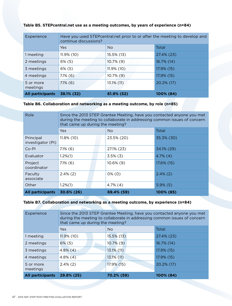| Experience              | Have you used STEP central net prior to or after the meeting to develop and<br>continue discussions? |               |            |  |
|-------------------------|------------------------------------------------------------------------------------------------------|---------------|------------|--|
|                         | Yes                                                                                                  | <b>No</b>     | Total      |  |
| 1 meeting               | $11.9\%$ (10)                                                                                        | 15.5% (13)    | 27.4% (23) |  |
| 2 meetings              | $6\%$ (5)                                                                                            | $10.7\%$ (9)  | 16.7% (14) |  |
| 3 meetings              | $6\%$ (5)                                                                                            | $11.9\%$ (10) | 17.9% (15) |  |
| 4 meetings              | $7.1\%$ (6)                                                                                          | $10.7\%$ (9)  | 17.9% (15) |  |
| 5 or more<br>meetings   | $7.1\%$ (6)                                                                                          | 13.1% (11)    | 20.2% (17) |  |
| <b>All participants</b> | 38.1% (32)                                                                                           | 61.9% (52)    | 100% (84)  |  |

#### **Table B5. STEPcentral.net use as a meeting outcomes, by years of experience (n=84)**

#### **Table B6. Collaboration and networking as a meeting outcome, by role (n=85)**

| Role                           | Since the 2013 STEP Grantee Meeting, have you contacted anyone you met<br>during the meeting to collaborate in addressing common issues of concern<br>that came up during the meeting? |  |              |             |
|--------------------------------|----------------------------------------------------------------------------------------------------------------------------------------------------------------------------------------|--|--------------|-------------|
|                                | Yes                                                                                                                                                                                    |  | No.          | Total       |
| Principal<br>investigator (PI) | 11.8% (10)                                                                                                                                                                             |  | 23.5% (20)   | 35.3% (30)  |
| Co-PI                          | $7.1\%$ (6)                                                                                                                                                                            |  | 27.1% (23)   | 34.1% (29)  |
| Evaluator                      | $1.2\%(1)$                                                                                                                                                                             |  | $3.5\%$ (3)  | $4.7\%$ (4) |
| Project<br>coordinator         | $7.1\%$ (6)                                                                                                                                                                            |  | $10.6\%$ (9) | 17.6% (15)  |
| Faculty<br>associate           | $2.4\%$ (2)                                                                                                                                                                            |  | $0\%$ (0)    | $2.4\%$ (2) |
| Other                          | $1.2\%(1)$                                                                                                                                                                             |  | $4.7\%$ (4)  | $5.9\%$ (5) |
| <b>All participants</b>        | $30.6\%$ (26)                                                                                                                                                                          |  | 69.4% (59)   | 100% (85)   |

#### **Table B7. Collaboration and networking as a meeting outcome, by experience (n=84)**

| Experience              | Since the 2013 STEP Grantee Meeting, have you contacted anyone you met<br>during the meeting to collaborate in addressing common issues of concern<br>that came up during the meeting? |                |            |  |
|-------------------------|----------------------------------------------------------------------------------------------------------------------------------------------------------------------------------------|----------------|------------|--|
|                         | <b>Yes</b>                                                                                                                                                                             | N <sub>o</sub> | Total      |  |
| 1 meeting               | $11.9\%$ (10)                                                                                                                                                                          | 15.5% (13)     | 27.4% (23) |  |
| 2 meetings              | $6\%$ (5)                                                                                                                                                                              | $10.7\%$ (9)   | 16.7% (14) |  |
| 3 meetings              | $4.8\%$ (4)                                                                                                                                                                            | 13.1% (11)     | 17.9% (15) |  |
| 4 meetings              | $4.8\%$ (4)                                                                                                                                                                            | $13.1\%$ (11)  | 17.9% (15) |  |
| 5 or more<br>meetings   | $2.4\%$ (2)                                                                                                                                                                            | 17.9% (15)     | 20.2% (17) |  |
| <b>All participants</b> | 29.8% (25)                                                                                                                                                                             | 70.2% (59)     | 100% (84)  |  |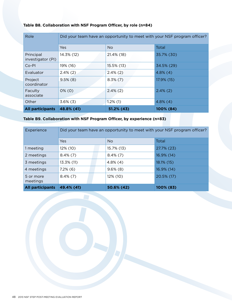| Role                           | Did your team have an opportunity to meet with your NSF program officer? |             |             |  |
|--------------------------------|--------------------------------------------------------------------------|-------------|-------------|--|
|                                | <b>Yes</b>                                                               | <b>No</b>   | Total       |  |
| Principal<br>investigator (PI) | 14.3% (12)                                                               | 21.4% (18)  | 35.7% (30)  |  |
| Co-PI                          | 19% (16)                                                                 | 15.5% (13)  | 34.5% (29)  |  |
| Evaluator                      | $2.4\%$ (2)                                                              | $2.4\%$ (2) | $4.8\%$ (4) |  |
| Project<br>coordinator         | $9.5\%$ (8)                                                              | $8.3\%$ (7) | 17.9% (15)  |  |
| Faculty<br>associate           | $0\%$ (0)                                                                | $2.4\%$ (2) | $2.4\%$ (2) |  |
| Other                          | $3.6\%$ (3)                                                              | $1.2\%$ (1) | $4.8\%$ (4) |  |
| <b>All participants</b>        | 48.8% (41)                                                               | 51.2% (43)  | 100% (84)   |  |

# **Table B8. Collaboration with NSF Program Officer, by role (n=84)**

# **Table B9. Collaboration with NSF Program Officer, by experience (n=83)**

| Experience              | Did your team have an opportunity to meet with your NSF program officer? |  |             |                 |
|-------------------------|--------------------------------------------------------------------------|--|-------------|-----------------|
|                         | Yes                                                                      |  | <b>No</b>   | Total           |
| 1 meeting               | 12% (10)                                                                 |  | 15.7% (13)  | $27.7\%$ (23)   |
| 2 meetings              | $8.4\%$ (7)                                                              |  | $8.4\%$ (7) | $16.9\%$ $(14)$ |
| 3 meetings              | 13.3% (11)                                                               |  | $4.8\%$ (4) | $18.1\%$ (15)   |
| 4 meetings              | $7.2\%$ (6)                                                              |  | $9.6\%$ (8) | 16.9% (14)      |
| 5 or more<br>meetings   | $8.4\%(7)$                                                               |  | 12% (10)    | 20.5% (17)      |
| <b>All participants</b> | 49.4% (41)                                                               |  | 50.6% (42)  | 100% (83)       |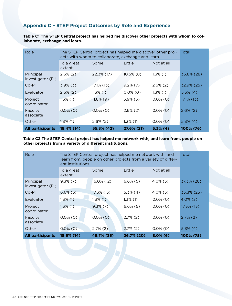# **Appendix C – STEP Project Outcomes by Role and Experience**

**Table C1 The STEP Central project has helped me discover other projects with whom to collaborate, exchange and learn.**

| Role                           | The STEP Central project has helped me discover other proj-<br>ects with whom to collaborate, exchange and learn. | Total        |              |             |               |
|--------------------------------|-------------------------------------------------------------------------------------------------------------------|--------------|--------------|-------------|---------------|
|                                | To a great<br>extent                                                                                              | Some         | Little       | Not at all  |               |
| Principal<br>investigator (PI) | $2.6\%$ (2)                                                                                                       | 22.3% (17)   | $10.5\%$ (8) | $1.3\%$ (1) | 36.8% (28)    |
| $Co-PI$                        | $3.9\%$ (3)                                                                                                       | 17.1% (13)   | $9.2\%$ (7)  | $2.6\%$ (2) | 32.9% (25)    |
| Evaluator                      | $2.6\%$ (2)                                                                                                       | $1.3\%$ (1)  | $0.0\%$ (0)  | $1.3\%$ (1) | $5.3\%$ (4)   |
| Project<br>coordinator         | $1.3\%$ (1)                                                                                                       | $11.8\%$ (9) | $3.9\%$ (3)  | $0.0\%$ (0) | $17.1\%$ (13) |
| Faculty<br>associate           | $0.0\%$ (0)                                                                                                       | $0.0\%$ (0)  | $2.6\%$ (2)  | $0.0\%$ (0) | $2.6\%$ (2)   |
| Other                          | $1.3\%$ (1)                                                                                                       | $2.6\%$ (2)  | $1.3\%$ (1)  | $0.0\%$ (0) | $5.3\%$ (4)   |
| <b>All participants</b>        | 18.4% (14)                                                                                                        | 55.3% (42)   | 27.6% (21)   | $5.3\%$ (4) | 100% (76)     |

#### **Table C2 The STEP Central project has helped me network with, and learn from, people on other projects from a variety of different institutions.**

| Role                           | The STEP Central project has helped me network with, and<br>learn from, people on other projects from a variety of differ-<br>ent institutions. | Total       |             |             |             |
|--------------------------------|-------------------------------------------------------------------------------------------------------------------------------------------------|-------------|-------------|-------------|-------------|
|                                | To a great<br>extent                                                                                                                            | Some        | Little      | Not at all  |             |
| Principal<br>investigator (PI) | $9.3\%$ (7)                                                                                                                                     | 16.0% (12)  | $6.6\%$ (5) | $4.0\%$ (3) | 37.3% (28)  |
| $Co-PI$                        | $6.6\%$ (5)                                                                                                                                     | 17.3% (13)  | $5.3\%$ (4) | $4.0\%$ (3) | 33.3% (25)  |
| Evaluator                      | $1.3\%$ (1)                                                                                                                                     | $1.3\%$ (1) | $1.3\%$ (1) | $0.0\%$ (0) | $4.0\%$ (3) |
| Project<br>coordinator         | $1.3\%$ (1)                                                                                                                                     | $9.3\%$ (7) | $6.6\%$ (5) | $0.0\%$ (0) | 17.3% (13)  |
| Faculty<br>associate           | $0.0\%$ (0)                                                                                                                                     | $0.0\%$ (0) | $2.7\%$ (2) | $0.0\%$ (0) | $2.7\%$ (2) |
| Other                          | $0.0\%$ (0)                                                                                                                                     | $2.7\%$ (2) | $2.7\%$ (2) | $0.0\%$ (0) | $5.3\%$ (4) |
| <b>All participants</b>        | 18.6% (14)                                                                                                                                      | 46.7% (35)  | 26.7% (20)  | $8.0\%$ (6) | 100% (75)   |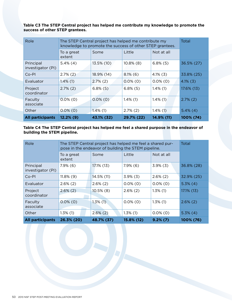**Table C3 The STEP Central project has helped me contribute my knowledge to promote the success of other STEP grantees.**

| Role                           | The STEP Central project has helped me contribute my<br>knowledge to promote the success of other STEP grantees. | Total       |              |             |             |
|--------------------------------|------------------------------------------------------------------------------------------------------------------|-------------|--------------|-------------|-------------|
|                                | To a great<br>extent                                                                                             | Some        | Little       | Not at all  |             |
| Principal<br>investigator (PI) | $5.4\%$ (4)                                                                                                      | 13.5% (10)  | $10.8\%$ (8) | $6.8\%$ (5) | 36.5% (27)  |
| $Co-PI$                        | $2.7\%$ (2)                                                                                                      | 18.9% (14)  | $8.1\%$ (6)  | $4.1\%$ (3) | 33.8% (25)  |
| Evaluator                      | $1.4\%$ (1)                                                                                                      | $2.7\%$ (2) | $0.0\%$ (0)  | $0.0\%$ (0) | $4.1\%$ (3) |
| Project<br>coordinator         | $2.7\%$ (2)                                                                                                      | $6.8\%$ (5) | $6.8\%$ (5)  | $1.4\%$ (1) | 17.6% (13)  |
| Faculty<br>associate           | $0.0\%$ (0)                                                                                                      | $0.0\%$ (0) | $1.4\%$ (1)  | $1.4\%$ (1) | $2.7\%$ (2) |
| Other                          | $0.0\%$ (0)                                                                                                      | $1.4\%$ (1) | $2.7\%$ (2)  | $1.4\%$ (1) | $5.4\%$ (4) |
| <b>All participants</b>        | $12.2\%$ (9)                                                                                                     | 43.1% (32)  | 29.7% (22)   | 14.9% (11)  | 100% (74)   |

#### **Table C4 The STEP Central project has helped me feel a shared purpose in the endeavor of building the STEM pipeline.**

| $Co-PI$<br>Evaluator    | $11.8\%$ (9)<br>$2.6\%$ (2) | 14.5% (11)<br>$2.6\%$ (2) | $3.9\%$ (3)<br>$0.0\%$ (0) | $2.6\%$ (2)<br>$0.0\%$ (0) | 32.9% (25)<br>$5.3\%$ (4) |
|-------------------------|-----------------------------|---------------------------|----------------------------|----------------------------|---------------------------|
|                         |                             |                           |                            |                            |                           |
| Project<br>coordinator  | $2.6\%$ (2)                 | $10.5\%$ (8)              | $2.6\%$ (2)                | $1.3\%$ (1)                | $17.1\%$ (13)             |
| Faculty<br>associate    | $0.0\%$ (0)                 | $1.3\%$ (1)               | $0.0\%$ (0)                | $1.3\%$ (1)                | $2.6\%$ (2)               |
| Other                   | $1.3\%$ (1)                 | $2.6\%$ (2)               | $1.3\%$ (1)                | $0.0\%$ (0)                | $5.3\%$ (4)               |
| <b>All participants</b> | 26.3% (20)                  | 48.7% (37)                | 15.8% (12)                 | $9.2\%$ (7)                | 100% (76)                 |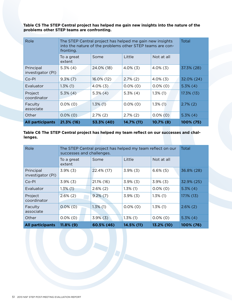**Table C5 The STEP Central project has helped me gain new insights into the nature of the problems other STEP teams are confronting.**

| Role                           | The STEP Central project has helped me gain new insights<br>into the nature of the problems other STEP teams are con-<br>fronting. | Total       |             |              |             |
|--------------------------------|------------------------------------------------------------------------------------------------------------------------------------|-------------|-------------|--------------|-------------|
|                                | To a great<br>extent                                                                                                               | Some        | Little      | Not at all   |             |
| Principal<br>investigator (PI) | $5.3\%$ (4)                                                                                                                        | 24.0% (18)  | $4.0\%$ (3) | $4.0\%$ (3)  | 37.3% (28)  |
| $Co-PI$                        | $9.3\%$ (7)                                                                                                                        | 16.0% (12)  | $2.7\%$ (2) | $4.0\%$ (3)  | 32.0% (24)  |
| Evaluator                      | $1.3\%$ (1)                                                                                                                        | $4.0\%$ (3) | $0.0\%$ (0) | $0.0\%$ (0)  | $5.3\%$ (4) |
| Project<br>coordinator         | $5.3\%$ (4)                                                                                                                        | $5.3\%$ (4) | $5.3\%$ (4) | $1.3\%$ (1)  | 17.3% (13)  |
| Faculty<br>associate           | $0.0\%$ (0)                                                                                                                        | $1.3\%$ (1) | $0.0\%$ (0) | $1.3\%$ (1)  | $2.7\%$ (2) |
| Other                          | $0.0\%$ (0)                                                                                                                        | $2.7\%$ (2) | $2.7\%$ (2) | $0.0\%$ (0)  | $5.3\%$ (4) |
| <b>All participants</b>        | 21.3% (16)                                                                                                                         | 53.3% (40)  | 14.7% (11)  | $10.7\%$ (8) | 100% (75)   |

#### **Table C6 The STEP Central project has helped my team reflect on our successes and challenges.**

| Role                           | The STEP Central project has helped my team reflect on our<br>successes and challenges. | Total         |             |             |               |
|--------------------------------|-----------------------------------------------------------------------------------------|---------------|-------------|-------------|---------------|
|                                | To a great<br>extent                                                                    | Some          | Little      | Not at all  |               |
| Principal<br>investigator (PI) | $3.9\%$ (3)                                                                             | 22.4% (17)    | $3.9\%$ (3) | $6.6\%$ (5) | 36.8% (28)    |
| $Co-PI$                        | $3.9\%$ (3)                                                                             | $21.1\%$ (16) | $3.9\%$ (3) | $3.9\%$ (3) | 32.9% (25)    |
| Evaluator                      | $1.3\%$ (1)                                                                             | $2.6\%$ (2)   | $1.3\%$ (1) | $0.0\%$ (0) | $5.3\%$ (4)   |
| Project<br>coordinator         | $2.6\%$ (2)                                                                             | $9.2\%$ (7)   | $3.9\%$ (3) | $1.3\%$ (1) | $17.1\%$ (13) |
| Faculty<br>associate           | $0.0\%$ (0)                                                                             | $1.3\%$ (1)   | $0.0\%$ (0) | $1.3\%$ (1) | $2.6\%$ (2)   |
| Other                          | $0.0\%$ (0)                                                                             | $3.9\%$ (3)   | $1.3\%$ (1) | $0.0\%$ (0) | $5.3\%$ (4)   |
| <b>All participants</b>        | $11.8\%$ (9)                                                                            | 60.5% (46)    | 14.5% (11)  | 13.2% (10)  | 100% (76)     |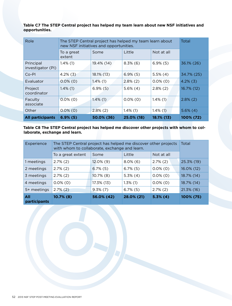**Table C7 The STEP Central project has helped my team learn about new NSF initiatives and opportunities.**

| Role                           | The STEP Central project has helped my team learn about<br>new NSF initiatives and opportunities. | Total       |             |             |             |
|--------------------------------|---------------------------------------------------------------------------------------------------|-------------|-------------|-------------|-------------|
|                                | To a great<br>extent                                                                              | Some        | Little      | Not at all  |             |
| Principal<br>investigator (PI) | $1.4\%$ (1)                                                                                       | 19.4% (14)  | $8.3\%$ (6) | $6.9\%$ (5) | 36.1% (26)  |
| Co-Pl                          | $4.2\%$ (3)                                                                                       | 18.1% (13)  | $6.9\%$ (5) | $5.5\%$ (4) | 34.7% (25)  |
| <b>Evaluator</b>               | $0.0\%$ (0)                                                                                       | $1.4\%$ (1) | $2.8\%$ (2) | $0.0\%$ (0) | $4.2\%$ (3) |
| Project<br>coordinator         | $1.4\%$ (1)                                                                                       | $6.9\%$ (5) | $5.6\%$ (4) | $2.8\%$ (2) | 16.7% (12)  |
| Faculty<br>associate           | $0.0\%$ (0)                                                                                       | $1.4\%$ (1) | $0.0\%$ (0) | $1.4\%$ (1) | $2.8\%$ (2) |
| Other                          | $0.0\%$ (0)                                                                                       | $2.8\%$ (2) | $1.4\%$ (1) | $1.4\%$ (1) | $5.6\%$ (4) |
| <b>All participants</b>        | $6.9\%$ (5)                                                                                       | 50.0% (36)  | 25.0% (18)  | 18.1% (13)  | 100% (72)   |

**Table C8 The STEP Central project has helped me discover other projects with whom to collaborate, exchange and learn.**

| Experience                 | The STEP Central project has helped me discover other projects<br>with whom to collaborate, exchange and learn. | Total         |             |             |            |
|----------------------------|-----------------------------------------------------------------------------------------------------------------|---------------|-------------|-------------|------------|
|                            | To a great extent                                                                                               | Some          | Little      | Not at all  |            |
| 1 meetings                 | $2.7\%$ (2)                                                                                                     | $12.0\%$ (9)  | $8.0\%$ (6) | $2.7\%$ (2) | 25.3% (19) |
| 2 meetings                 | $2.7\%$ (2)                                                                                                     | $6.7\%$ (5)   | $6.7\%$ (5) | $0.0\%$ (0) | 16.0% (12) |
| 3 meetings                 | $2.7\%$ (2)                                                                                                     | $10.7\%$ (8)  | $5.3\%$ (4) | $0.0\%$ (0) | 18.7% (14) |
| 4 meetings                 | $0.0\%$ (0)                                                                                                     | $17.3\%$ (13) | $1.3\%$ (1) | $0.0\%$ (0) | 18.7% (14) |
| 5+ meetings                | $2.7\%$ (2)                                                                                                     | $9.3\%$ (7)   | $6.7\%$ (5) | $2.7\%$ (2) | 21.3% (16) |
| All<br><b>participants</b> | 10.7% (8)                                                                                                       | 56.0% (42)    | 28.0% (21)  | $5.3%$ (4)  | 100% (75)  |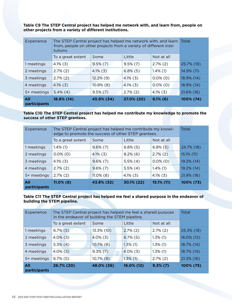**Table C9 The STEP Central project has helped me network with, and learn from, people on other projects from a variety of different institutions.**

| Experience          | tutions.          | The STEP Central project has helped me network with, and learn Total<br>from, people on other projects from a variety of different insti- |             |             |            |  |
|---------------------|-------------------|-------------------------------------------------------------------------------------------------------------------------------------------|-------------|-------------|------------|--|
|                     | To a great extent | Some                                                                                                                                      | Little      | Not at all  |            |  |
| 1 meetings          | $4.1\%$ (3)       | $9.5\%$ (7)                                                                                                                               | $9.5\%$ (7) | $2.7\%$ (2) | 25.7% (19) |  |
| 2 meetings          | $2.7\%$ (2)       | $4.1\%$ (3)                                                                                                                               | $6.8\%$ (5) | $1.4\%$ (1) | 14.9% (11) |  |
| 3 meetings          | $2.7\%$ (2)       | $12.2\%$ (9)                                                                                                                              | $4.1\%$ (3) | $0.0\%$ (0) | 18.9% (14) |  |
| 4 meetings          | $4.1\%$ (3)       | $10.8\%$ (8)                                                                                                                              | $4.1\%$ (3) | $0.0\%$ (0) | 18.9% (14) |  |
| 5+ meetings         | $5.4\%$ (4)       | $9.5\%(7)$                                                                                                                                | $2.7\%$ (2) | $4.1\%$ (3) | 21.6% (16) |  |
| All<br>participants | 18.9% (14)        | 45.9% (34)                                                                                                                                | 27.0% (20)  | $8.1\%$ (6) | 100% (74)  |  |

**Table C10 The STEP Central project has helped me contribute my knowledge to promote the success of other STEP grantees.**

| All<br>participants | $11.0\%$ (8)                                                                                                       | 43.8% (32)   | 30.1% (22)  | 15.1% (11)  | 100% (73)  |
|---------------------|--------------------------------------------------------------------------------------------------------------------|--------------|-------------|-------------|------------|
| 5+ meetings         | $2.7\%$ (2)                                                                                                        | $11.0\%$ (8) | $4.1\%$ (3) | $4.1\%$ (3) | 21.9% (16) |
| 4 meetings          | $2.7\%$ (2)                                                                                                        | $9.6\%$ (7)  | $5.5\%$ (4) | $1.4\%$ (1) | 19.2% (14) |
| 3 meetings          | $4.1\%$ (3)                                                                                                        | $9.6\%$ (7)  | $5.5\%$ (4) | $0.0\%$ (0) | 19.2% (14) |
| 2 meetings          | $0.0\%$ (0)                                                                                                        | $4.1\%$ (3)  | $8.2\%$ (6) | $2.7\%$ (2) | 15.1% (11) |
| 1 meetings          | $1.4\%$ (1)                                                                                                        | $9.6\%(7)$   | $6.8\%$ (5) | $6.8\%$ (5) | 24.7% (18) |
|                     | To a great extent                                                                                                  | Some         | Little      | Not at all  |            |
| Experience          | The STEP Central project has helped me contribute my knowl-<br>edge to promote the success of other STEP grantees. | Total        |             |             |            |

**Table C11 The STEP Central project has helped me feel a shared purpose in the endeavor of building the STEM pipeline.**

| Little<br>To a great extent<br>Not at all<br>Some<br>$2.7\%$ (2)<br>$6.7\%$ (5)<br>13.3% (10)<br>$2.7\%$ (2)<br>1 meetings<br>$4.0\%$ (3)<br>$6.7\%$ (5)<br>$1.3\%$ (1)<br>2 meetings<br>$4.0\%$ (3)<br>$10.7\%$ (8)<br>$5.3\%$ (4)<br>$1.3\%$ (1)<br>$1.3\%$ (1)<br>3 meetings<br>$4.0\%$ (3)<br>$4.0\%$ (3)<br>$1.3\%$ (1)<br>4 meetings<br>$9.3\%$ (7)<br>$6.7\%$ (5)<br>$10.7\%$ (8)<br>$1.3\%$ (1)<br>$2.7\%$ (2)<br>5+ meetings | 100% (75)  |
|---------------------------------------------------------------------------------------------------------------------------------------------------------------------------------------------------------------------------------------------------------------------------------------------------------------------------------------------------------------------------------------------------------------------------------------|------------|
|                                                                                                                                                                                                                                                                                                                                                                                                                                       | 21.3% (16) |
|                                                                                                                                                                                                                                                                                                                                                                                                                                       | 18.7% (14) |
|                                                                                                                                                                                                                                                                                                                                                                                                                                       | 18.7% (14) |
|                                                                                                                                                                                                                                                                                                                                                                                                                                       | 16.0% (12) |
|                                                                                                                                                                                                                                                                                                                                                                                                                                       | 25.3% (19) |
|                                                                                                                                                                                                                                                                                                                                                                                                                                       |            |
| Experience<br>The STEP Central project has helped me feel a shared purpose<br>in the endeavor of building the STEM pipeline.                                                                                                                                                                                                                                                                                                          | Total      |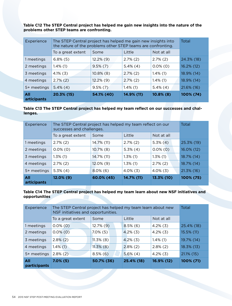**Table C12 The STEP Central project has helped me gain new insights into the nature of the problems other STEP teams are confronting.**

| Experience         | The STEP Central project has helped me gain new insights into<br>the nature of the problems other STEP teams are confronting. | Total        |             |              |            |
|--------------------|-------------------------------------------------------------------------------------------------------------------------------|--------------|-------------|--------------|------------|
|                    | To a great extent                                                                                                             | Some         | Little      | Not at all   |            |
| 1 meetings         | $6.8\%$ (5)                                                                                                                   | $12.2\%$ (9) | $2.7\%$ (2) | $2.7\%$ (2)  | 24.3% (18) |
| 2 meetings         | $1.4\%$ (1)                                                                                                                   | $9.5\%$ (7)  | $5.4\%$ (4) | $0.0\%$ (0)  | 16.2% (12) |
| 3 meetings         | $4.1\%$ (3)                                                                                                                   | $10.8\%$ (8) | $2.7\%$ (2) | $1.4\%$ (1)  | 18.9% (14) |
| 4 meetings         | $2.7\%$ (2)                                                                                                                   | $12.2\%$ (9) | $2.7\%$ (2) | $1.4\%$ (1)  | 18.9% (14) |
| 5+ meetings        | $5.4\%$ (4)                                                                                                                   | $9.5\%$ (7)  | $1.4\%$ (1) | $5.4\%$ (4)  | 21.6% (16) |
| All<br>articipants | 20.3% (15)                                                                                                                    | 54.1% (40)   | 14.9% (11)  | $10.8\%$ (8) | 100% (74)  |

**Table C13 The STEP Central project has helped my team reflect on our successes and challenges.**

| Experience         | The STEP Central project has helped my team reflect on our<br>successes and challenges. | Total        |             |             |            |
|--------------------|-----------------------------------------------------------------------------------------|--------------|-------------|-------------|------------|
|                    | To a great extent                                                                       | Some         | Little      | Not at all  |            |
| 1 meetings         | $2.7\%$ (2)                                                                             | 14.7% (11)   | $2.7\%$ (2) | $5.3\%$ (4) | 25.3% (19) |
| 2 meetings         | $0.0\%$ (0)                                                                             | $10.7\%$ (8) | $5.3\%$ (4) | $0.0\%$ (0) | 16.0% (12) |
| 3 meetings         | $1.3\%$ (1)                                                                             | 14.7% (11)   | $1.3\%$ (1) | $1.3\%$ (1) | 18.7% (14) |
| 4 meetings         | $2.7\%$ (2)                                                                             | 12.0% (9)    | $1.3\%$ (1) | $2.7\%$ (2) | 18.7% (14) |
| 5+ meetings        | $5.3\%$ (4)                                                                             | $8.0\%$ (6)  | $4.0\%$ (3) | $4.0\%$ (3) | 21.3% (16) |
| All<br>articipants | $12.0\%$ (9)                                                                            | 60.0% (45)   | 14.7% (11)  | 13.3% (10)  | 100% (75)  |

#### **Table C14 The STEP Central project has helped my team learn about new NSF initiatives and opportunities**

| All<br><b>participants</b> | $7.0\%$ (5)                                                                                       | 50.7% (36)   | 25.4% (18)  | 16.9% (12)  | 100% (71)     |
|----------------------------|---------------------------------------------------------------------------------------------------|--------------|-------------|-------------|---------------|
| 5+ meetings                | $2.8\%$ (2)                                                                                       | $8.5\%$ (6)  | $5.6\%$ (4) | $4.2\%$ (3) | $21.1\%$ (15) |
| 4 meetings                 | $1.4\%$ (1)                                                                                       | $11.3\%$ (8) | $2.8\%$ (2) | $2.8\%$ (2) | 18.3% (13)    |
| 3 meetings                 | $2.8\%$ (2)                                                                                       | $11.3\%$ (8) | $4.2\%$ (3) | $1.4\%$ (1) | 19.7% (14)    |
| 2 meetings                 | $0.0\%$ (0)                                                                                       | $7.0\%$ (5)  | $4.2\%$ (3) | $4.2\%$ (3) | 15.5% (11)    |
| 1 meetings                 | $0.0\%$ (0)                                                                                       | $12.7\%$ (9) | $8.5\%$ (6) | $4.2\%$ (3) | 25.4% (18)    |
|                            | To a great extent                                                                                 | Some         | Little      | Not at all  |               |
| Experience                 | The STEP Central project has helped my team learn about new<br>NSF initiatives and opportunities. |              |             |             | Total         |
|                            |                                                                                                   |              |             |             |               |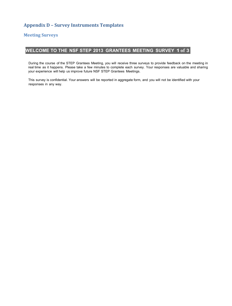# **Appendix D – Survey Instruments Templates**

#### **Meeting Surveys**

# **WELCOME TO THE NSF STEP 2013 GRANTEES MEETING SURVEY 1 of 3**

During the course of the STEP Grantees Meeting, you will receive three surveys to provide feedback on the meeting in real time as it happens. Please take a few minutes to complete each survey. Your responses are valuable and sharing your experience will help us improve future NSF STEP Grantees Meetings.

This survey is confidential. Your answers will be reported in aggregate form, and you will not be identified with your responses in any way.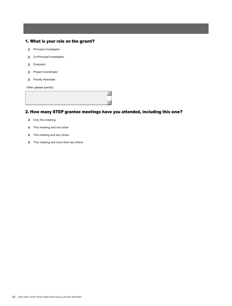#### 1. What is your role on the grant?

- **film** Principal Investigator
- **co-Principal Investigator**
- $m$  Evaluator
- fli Project Coordinator
- fli Faculty Associate

Other (please specify)

# 2. How many STEP grantee meetings have you attended, including this one?

- **il** Only this meeting
- **1** This meeting and one other
- **il** This meeting and two others
- $m$  This meeting and more than two others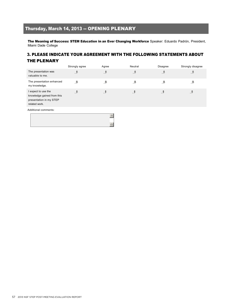# Thursday, March 14, 2013 -- OPENING PLENARY

The Meaning of Success: STEM Education in an Ever Changing Workforce Speaker: Eduardo Padrón, President, Miami Dade College

# 3. PLEASE INDICATE YOUR AGREEMENT WITH THE FOLLOWING STATEMENTS ABOUT THE PLENARY

|                                                                                               | Strongly agree | Agree | Neutral | <b>Disagree</b> | Strongly disagree |
|-----------------------------------------------------------------------------------------------|----------------|-------|---------|-----------------|-------------------|
| The presentation was<br>valuable to me.                                                       | 情              | 団     | J       | J               | J                 |
| The presentation enhanced<br>my knowledge.                                                    | 谭              | 団     | J       | J               | 谭                 |
| I expect to use the<br>knowledge gained from this<br>presentation in my STEP<br>related work. | 団              | J     | J       | J.              | j                 |
| Additional comments:                                                                          |                |       |         |                 |                   |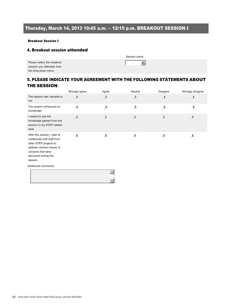# Thursday, March 14, 2013 10:45 a.m. – 12:15 p.m. BREAKOUT SESSION I

#### Breakout Session I

#### 4. Breakout session attended

|                                                         | Session name: |
|---------------------------------------------------------|---------------|
| Please select the breakout<br>session you attended from | $\bullet$     |
| the drop-down menu:                                     |               |

# 5. PLEASE INDICATE YOUR AGREEMENT WITH THE FOLLOWING STATEMENTS ABOUT THE SESSION

|                                                                                                                                                                               | Strongly agree | Agree | Neutral | Disagree | Strongly disagree |
|-------------------------------------------------------------------------------------------------------------------------------------------------------------------------------|----------------|-------|---------|----------|-------------------|
| The session was valuable to<br>me.                                                                                                                                            | 団              | 団     | J       | j        | 団                 |
| The session enhanced my<br>knowledge.                                                                                                                                         | 動              | 亜     | 重       | 団        | 亜                 |
| I expect to use the<br>knowledge gained from this<br>session in my STEP related<br>work.                                                                                      | 団              | 団     | 适       | J        | j                 |
| After this session, I plan to<br>collaborate with staff from<br>other STEP projects to<br>address common issues of<br>concerns that were<br>discussed during this<br>session. | 亜              | 亜     | 重       | 亜        | 亜                 |
| Additional comments:                                                                                                                                                          |                |       |         |          |                   |
|                                                                                                                                                                               |                |       |         |          |                   |

6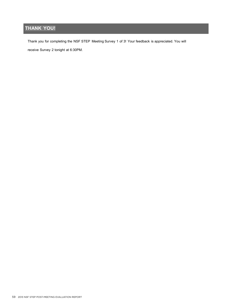# **THANK YOU!**

Thank you for completing the NSF STEP Meeting Survey 1 of 3! Your feedback is appreciated. You will

receive Survey 2 tonight at 6:30PM.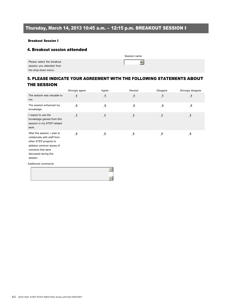# Thursday, March 14, 2013 10:45 a.m. – 12:15 p.m. BREAKOUT SESSION I

#### Breakout Session I

#### 4. Breakout session attended

|                                                         | Session name: |
|---------------------------------------------------------|---------------|
| Please select the breakout<br>session you attended from | 6             |
| the drop-down menu:                                     |               |

# 5. PLEASE INDICATE YOUR AGREEMENT WITH THE FOLLOWING STATEMENTS ABOUT THE SESSION

|                                                                                                                                                                               | Strongly agree | Agree | Neutral | <b>Disagree</b> | Strongly disagree |
|-------------------------------------------------------------------------------------------------------------------------------------------------------------------------------|----------------|-------|---------|-----------------|-------------------|
| The session was valuable to<br>me.                                                                                                                                            | 団              | j     | j       | j               | J                 |
| The session enhanced my<br>knowledge.                                                                                                                                         | 通              | 団     | 谭       | 通               | 亜                 |
| I expect to use the<br>knowledge gained from this<br>session in my STEP related<br>work.                                                                                      | 适              | 谭     | 団       | 団               | 団                 |
| After this session, I plan to<br>collaborate with staff from<br>other STEP projects to<br>address common issues of<br>concerns that were<br>discussed during this<br>session. | 亜              | 诵     | 価       | 谭               | 亜                 |
| Additional comments:                                                                                                                                                          |                |       |         |                 |                   |
|                                                                                                                                                                               |                | 5     |         |                 |                   |

6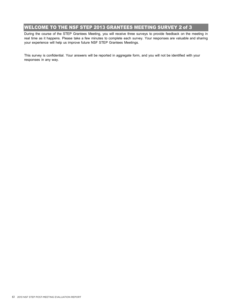# WELCOME TO THE NSF STEP 2013 GRANTEES MEETING SURVEY 2 of 3

During the course of the STEP Grantees Meeting, you will receive three surveys to provide feedback on the meeting in real time as it happens. Please take a few minutes to complete each survey. Your responses are valuable and sharing your experience will help us improve future NSF STEP Grantees Meetings.

This survey is confidential. Your answers will be reported in aggregate form, and you will not be identified with your responses in any way.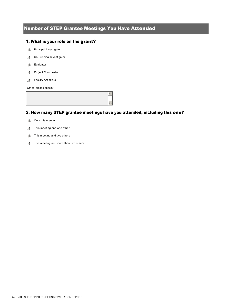# Number of STEP Grantee Meetings You Have Attended

#### 1. What is your role on the grant?

- **in** Principal Investigator
- **n** Co-Principal Investigator
- $m$  Evaluator
- fli Project Coordinator
- **fl** Faculty Associate

Other (please specify)

## 2. How many STEP grantee meetings have you attended, including this one?

- $m$  Only this meeting
- $m$  This meeting and one other
- $m$  This meeting and two others
- $m$  This meeting and more than two others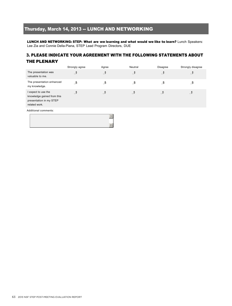# Thursday, March 14, 2013 -- LUNCH AND NETWORKING

LUNCH AND NETWORKING: STEP: What are we learning and what would we like to learn? Lunch Speakers: Lee Zia and Connie Della-Piana, STEP Lead Program Directors, DUE

### 3. PLEASE INDICATE YOUR AGREEMENT WITH THE FOLLOWING STATEMENTS ABOUT THE PLENARY

|                                                                                               | Strongly agree | Agree | Neutral | Disagree | Strongly disagree |
|-----------------------------------------------------------------------------------------------|----------------|-------|---------|----------|-------------------|
| The presentation was<br>valuable to me.                                                       | đ              | 団     | J       | J        | J                 |
| The presentation enhanced<br>my knowledge.                                                    | đ              | J     |         |          |                   |
| I expect to use the<br>knowledge gained from this<br>presentation in my STEP<br>related work. | 団              | 遺     | 団       | 词        | Ħ                 |
|                                                                                               |                |       |         |          |                   |

Additional comments: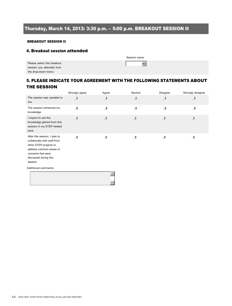# Thursday, March 14, 2013: 3:30 p.m. – 5:00 p.m. BREAKOUT SESSION II

#### BREAKOUT SESSION II

#### 4. Breakout session attended

|                                                         | Session name: |
|---------------------------------------------------------|---------------|
| Please select the breakout<br>session you attended from |               |
| the drop-down menu:                                     |               |

# 5. PLEASE INDICATE YOUR AGREEMENT WITH THE FOLLOWING STATEMENTS ABOUT THE SESSION

|                                                                                                                                                                               | Strongly agree | Agree               | Neutral | Disagree | Strongly disagree |
|-------------------------------------------------------------------------------------------------------------------------------------------------------------------------------|----------------|---------------------|---------|----------|-------------------|
| The session was valuable to<br>me.                                                                                                                                            | J              | J                   | J       | j        | J                 |
| The session enhanced my<br>knowledge.                                                                                                                                         | 通              | j                   | ₫       | ₫        | ₫                 |
| I expect to use the<br>knowledge gained from this<br>session in my STEP related<br>work.                                                                                      | 団              | 団                   | 団       | 団        | 団                 |
| After this session, I plan to<br>collaborate with staff from<br>other STEP projects to<br>address common issues of<br>concerns that were<br>discussed during this<br>session. | 亜              | 诵                   | 通       | 通        | 亜                 |
| Additional comments:                                                                                                                                                          |                | 5<br>$\overline{6}$ |         |          |                   |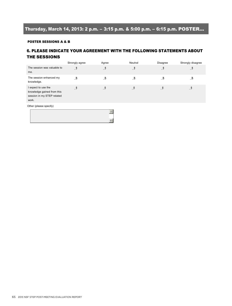# Thursday, March 14, 2013: 2 p.m. – 3:15 p.m. & 5:00 p.m. – 6:15 p.m. POSTER...

#### POSTER SESSIONS A & B

## 6. PLEASE INDICATE YOUR AGREEMENT WITH THE FOLLOWING STATEMENTS ABOUT THE SESSIONS

|                                                                                          | Strongly agree | Agree | Neutral | Disagree | Strongly disagree |
|------------------------------------------------------------------------------------------|----------------|-------|---------|----------|-------------------|
| The session was valuable to<br>me.                                                       | 団              | J     | J       | J        | J                 |
| The session enhanced my<br>knowledge.                                                    | 谭              | 亜     | 団       | 谭        | 亜                 |
| I expect to use the<br>knowledge gained from this<br>session in my STEP related<br>work. | đ              | 情     | H.      | -T       | đ                 |
| Other (please specify)                                                                   |                |       |         |          |                   |

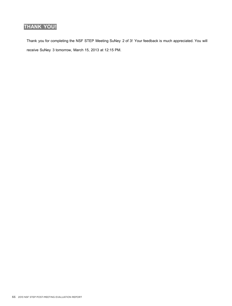# **THANK YOU!**

Thank you for completing the NSF STEP Meeting SuNey 2 of 3! Your feedback is much appreciated. You will receive SuNey 3 tomorrow, March 15, 2013 at 12:15 PM.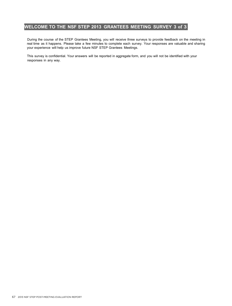# **WELCOME TO THE NSF STEP 2013 GRANTEES MEETING SURVEY 3 of 3**

During the course of the STEP Grantees Meeting, you will receive three surveys to provide feedback on the meeting in real time as it happens. Please take a few minutes to complete each survey. Your responses are valuable and sharing your experience will help us improve future NSF STEP Grantees Meetings.

This survey is confidential. Your answers will be reported in aggregate form, and you will not be identified with your responses in any way.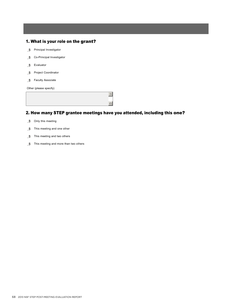#### 1. What is your role on the grant?

- fli Principal Investigator
- **formulation** Co-Principal Investigator
- mlj Evaluator
- mlj Project Coordinator
- fli Faculty Associate

Other (please specify)

# 2. How many STEP grantee meetings have you attended, including this one?

- $m$  Only this meeting
- $m$  This meeting and one other
- $m$  This meeting and two others
- $m$  This meeting and more than two others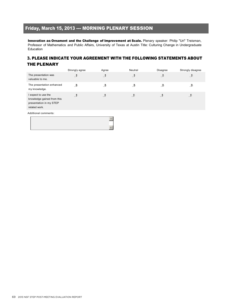# Friday, March 15, 2013 --- MORNING PLENARY SESSION

Innovation as Ornament and the Challenge of Improvement at Scale. Plenary speaker: Philip "Uri" Treisman, Professor of Mathematics and Public Affairs, University of Texas at Austin Title: Culturing Change in Undergraduate Education

#### 3. PLEASE INDICATE YOUR AGREEMENT WITH THE FOLLOWING STATEMENTS ABOUT THE PLENARY

|                                                                                               | Strongly agree | Agree | Neutral | Disagree | Strongly disagree |
|-----------------------------------------------------------------------------------------------|----------------|-------|---------|----------|-------------------|
| The presentation was<br>valuable to me.                                                       | đ              | J     | J       | J        | J                 |
| The presentation enhanced<br>my knowledge.                                                    | đ              | 団     | 亜       | đ        | 亜                 |
| I expect to use the<br>knowledge gained from this<br>presentation in my STEP<br>related work. | đ              | J     | J.      | đ        |                   |
| Additional comments:                                                                          |                |       |         |          |                   |

5 6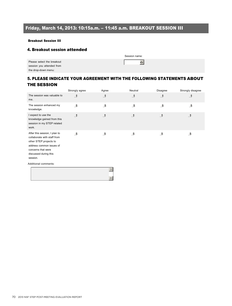# Friday, March 14, 2013: 10:15a.m. – 11:45 a.m. BREAKOUT SESSION III

#### Breakout Session III

#### 4. Breakout session attended

|                                                         | Session name: |
|---------------------------------------------------------|---------------|
| Please select the breakout<br>session you attended from | 6             |
| the drop-down menu:                                     |               |

# 5. PLEASE INDICATE YOUR AGREEMENT WITH THE FOLLOWING STATEMENTS ABOUT THE SESSION

|                                                                                                                                                                               | Strongly agree | Agree | Neutral | <b>Disagree</b> | Strongly disagree |
|-------------------------------------------------------------------------------------------------------------------------------------------------------------------------------|----------------|-------|---------|-----------------|-------------------|
| The session was valuable to<br>me.                                                                                                                                            | 団              | j     | j       | j               | J                 |
| The session enhanced my<br>knowledge.                                                                                                                                         | 通              | 団     | 谭       | 通               | 亜                 |
| I expect to use the<br>knowledge gained from this<br>session in my STEP related<br>work.                                                                                      | 适              | 谭     | 団       | 団               | 団                 |
| After this session, I plan to<br>collaborate with staff from<br>other STEP projects to<br>address common issues of<br>concerns that were<br>discussed during this<br>session. | 亜              | 诵     | 価       | 谭               | 亜                 |
| Additional comments:                                                                                                                                                          |                |       |         |                 |                   |
|                                                                                                                                                                               |                | 5     |         |                 |                   |

6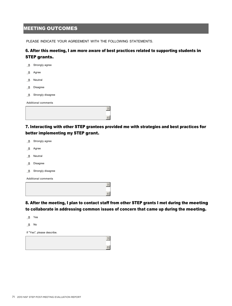# **MEETING OUTCOMES**

PLEASE INDICATE YOUR AGREEMENT WITH THE FOLLOWING STATEMENTS.

# 6. After this meeting, I am more aware of best practices related to supporting students in

|      | STEP grants.               |
|------|----------------------------|
| -ill | Strongly agree             |
| 通    | Agree                      |
| 亜    | Neutral                    |
| - Th | <b>Disagree</b>            |
| - Th | Strongly disagree          |
|      | <b>Additional comments</b> |
|      |                            |
|      |                            |

7. Interacting with other STEP grantees provided me with strategies and best practices for better implementing my STEP grant.<br>③ Strongly agree

| Strongly agree |
|----------------|
|                |

- mlj Agree
- **in** Neutral
- mlj Disagree
- $m$  Strongly disagree

Additional comments



8. After the meeting, I plan to contact staff from other STEP grants I met during the meeting to collaborate in addressing common issues of concern that came up during the meeting.

- mlj Yes
- $m$  No

If "Yes", please describe.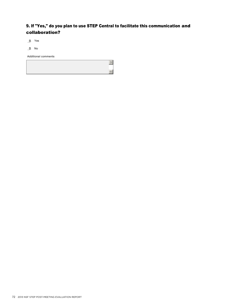# 9. If "Yes," do you plan to use STEP Central to facilitate this communication and collaboration?

 $m$  Yes

 $m$  No

Additional comments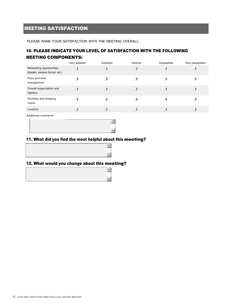# MEETING SATISFACTION

PLEASE RANK YOUR SATISFACTION WITH THE MEETING OVERALL

## 10. PLEASE INDICATE YOUR LEVEL OF SATISFACTION WITH THE FOLLOWING MEETING COMPONENTS:

5

6

|                                                           | Very satisfied | Satisfied | Neutral | Dissatisfied | Very dissatisfied |
|-----------------------------------------------------------|----------------|-----------|---------|--------------|-------------------|
| Networking opportunities<br>(breaks, session format, etc) | 団              | J         | J       | J            | J                 |
| Pace and time<br>management                               | 通              | 通         | 手       | 重            | 重                 |
| Overall organization and<br>logistics                     | đ              | 団         | J       | J            | . T               |
| Facilities and sleeping<br>rooms                          | 団              | 団         | 謙       | 重            | 逪                 |
| Location                                                  | J              | 団         | 遺       | 遺            |                   |

Additional comments



#### 11. What did you find the most helpful about this meeting?



## 12. What would you change about this meeting?

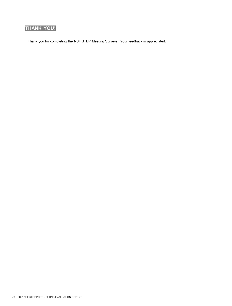# **THANK YOU!**

Thank you for completing the NSF STEP Meeting Surveys! Your feedback is appreciated.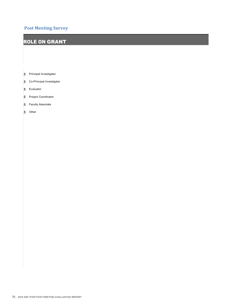# **Post Meeting Survey**

# ROLE ON GRANT

HAT IS YOUR ROLE ON THE GRANT? IS YOU ROLE ON THE GRANT?

- **Frincipal Investigator**
- **Dullar** Co-Principal Investigator
- **form** Evaluator
- **Flu** Project Coordinator
- **Faculty Associate**
- **n** Other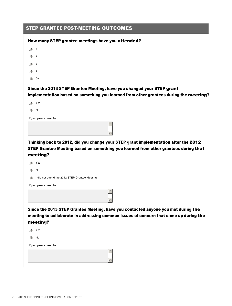| <b>STEP GRANTEE POST-MEETING OUTCOMES</b> |  |
|-------------------------------------------|--|
|-------------------------------------------|--|

#### How many STEP grantee meetings have you attended?

- mlj 1
- $m<sub>2</sub>$
- $m<sub>3</sub>$
- $m<sub>4</sub>$
- $m$  5+

### Since the 2013 STEP Grantee Meeting, have you changed your STEP grant implementation based on something you learned from other grantees during the meeting?

mlj Yes

 $m$  No

If yes, please describe.

Thinking back to 2012, did you change your STEP grant implementation after the 2012 STEP Grantee Meeting based on something you learned from other grantees during that meeting?

5

6

- mlj Yes
- $m<sub>1</sub>$  No
- in I did not attend the 2012 STEP Grantee Meeting

If yes, please describe.

Since the 2013 STEP Grantee Meeting, have you contacted anyone you met during the meeting to collaborate in addressing common issues of concern that came up during the meeting?

- mlj Yes
- $m$ <sub>l</sub>

If yes, please describe.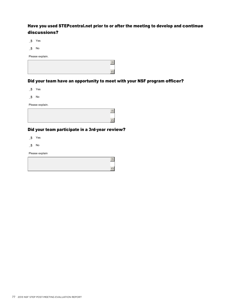## Have you used STEPcentral.net prior to or after the meeting to develop and continue discussions?

mlj Yes

 $m$  No

Please explain.

|  | - |
|--|---|

## Did your team have an opportunity to meet with your NSF program officer?

mlj Yes

 $m$  No

Please explain.

#### Did your team participate in a 3rd-year review?

 $m$  Yes

 $m$  No

Please explain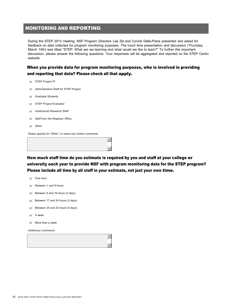## MONITORING AND REPORTING

During the STEP 2013 meeting, NSF Program Directors Lee Zia and Connie Della-Piana presented and asked for feedback on data collected for program monitoring purposes. The lunch time presentation and discussion (Thursday, March 14th) was titled "STEP: What are we learning and what would we like to learn?" To further this important discussion, please answer the following questions. Your responses will be aggregated and reported on the STEP Central website.

#### When you provide data for program monitoring purposes, who is involved in providing and reporting that data? Please check all that apply.

- fec Administrative Staff for STEP Project
- $\epsilon$  Graduate Students
- **fec** STEP Project Evaluator
- $\epsilon$  Institutional Research Staff
- $f$  Staff from the Registrar Office
- $\epsilon$  Other

Pease specify for "Other," or share any further comments

How much staff time do you estimate is required by you and staff at your college or university each year to provide NSF with program monitoring data for the STEP program? Please include all time by all staff in your estimate, not just your own time.

5

6

- $\epsilon$  Between 1 and 8 hours
- $f$  Between 9 and 16 hours (2 days)
- $f$  Between 17 and 24 hours (3 days)
- $f$  Between 25 and 32 hours (4 days)
- $\epsilon$  A week
- $\epsilon$  More than a week

Additional comments

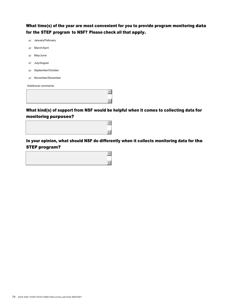What time(s) of the year are most convenient for you to provide program monitoring data for the STEP program to NSF? Please check all that apply.

 $\epsilon$  January/February  $\epsilon$  March/April  $\epsilon$  May/June  $\epsilon$  July/August  $\epsilon$  September/October  $\epsilon$  November/December

Additional comments

What kind(s) of support from NSF would be helpful when it comes to collecting data for monitoring purposes?

5

6



In your opinion, what should NSF do differently when it collects monitoring data for the STEP program?

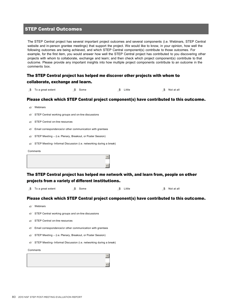#### STEP Central Outcomes

The STEP Central project has several important project outcomes and several components (i.e. Webinars, STEP Central website and in-person grantee meetings) that support the project. We would like to know, in your opinion, how well the following outcomes are being achieved, and which STEP Central component(s) contribute to those outcomes. For example, for the first item, you would answer how well the STEP Central project has contributed to you discovering other projects with whom to collaborate, exchange and learn; and then check which project component(s) contribute to that outcome. Please provide any important insights into how multiple project components contribute to an outcome in the comments box.

| The STEP Central project has helped me discover other projects with whom to |
|-----------------------------------------------------------------------------|
| collaborate, exchange and learn.                                            |

| $\blacksquare$ To a great extent | n¶ Some | n¶ Little | n¶ Notatall |  |  |  |  |
|----------------------------------|---------|-----------|-------------|--|--|--|--|

#### Please check which STEP Central project component(s) have contributed to this outcome.

| $\epsilon$ | Webinars |
|------------|----------|

- $f$  STEP Central working groups and on-line discussions
- $f \in \text{STFP Central on-line resources}$
- $\epsilon$  Email correspondence/or other communication with grantees
- **fec** STEP Meeting (i.e. Plenary, Breakout, or Poster Session)
- **fec STEP Meeting- Informal Discussion (i.e. networking during a break)**

**Comments** 

The STEP Central project has helped me network with, and learn from, people on other projects from a variety of different institutions.

| $\Box$ To a great extent | ਜ਼ੀ Some | n¶ Little | n⊪ Notatall |
|--------------------------|----------|-----------|-------------|

Please check which STEP Central project component(s) have contributed to this outcome.

- $\epsilon$  Webinars
- $f$  STEP Central working groups and on-line discussions
- $f$  STEP Central on-line resources
- $\epsilon$  Email correspondence/or other communication with grantees
- **fec STEP Meeting (i.e. Plenary, Breakout, or Poster Session)**
- **fec STEP Meeting- Informal Discussion (i.e. networking during a break)**

Comments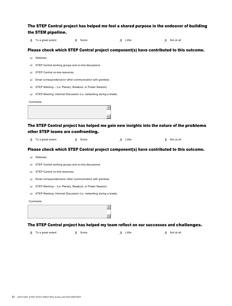| To a great extent<br>- III          | <b>The Some</b>                                                   | $\mathbb{L}$ Little | $\mathbb{H}$ Not at all                                                                                           |
|-------------------------------------|-------------------------------------------------------------------|---------------------|-------------------------------------------------------------------------------------------------------------------|
|                                     |                                                                   |                     | Please check which STEP Central project component(s) have contributed to this outcome.                            |
| $\epsilon$ Webinars                 |                                                                   |                     |                                                                                                                   |
| e                                   | STEP Central working groups and on-line discussions               |                     |                                                                                                                   |
| STEP Central on-line resources<br>e |                                                                   |                     |                                                                                                                   |
| ė                                   | Email correspondence/or other communication with grantees         |                     |                                                                                                                   |
| e                                   | STEP Meeting – (i.e. Plenary, Breakout, or Poster Session)        |                     |                                                                                                                   |
| e                                   | STEP Meeting-Informal Discussion (i.e. networking during a break) |                     |                                                                                                                   |
| Comments                            |                                                                   |                     |                                                                                                                   |
|                                     |                                                                   | 5                   |                                                                                                                   |
|                                     |                                                                   | 6                   |                                                                                                                   |
|                                     |                                                                   |                     |                                                                                                                   |
|                                     |                                                                   |                     | The STEP Central project has helped me gain new insights into the nature of the problems                          |
|                                     | other STEP teams are confronting.                                 |                     |                                                                                                                   |
| To a great extent<br>- III          | <b>曲</b> Some                                                     | Little<br>亜         | Not at all<br>m                                                                                                   |
|                                     |                                                                   |                     | Please check which STEP Central project component(s) have contributed to this outcome.                            |
| Webinars<br>ė                       |                                                                   |                     |                                                                                                                   |
| e                                   | STEP Central working groups and on-line discussions               |                     |                                                                                                                   |
| STEP Central on-line resources<br>e |                                                                   |                     |                                                                                                                   |
| e                                   | Email correspondence/or other communication with grantees         |                     |                                                                                                                   |
| e                                   | STEP Meeting – (i.e. Plenary, Breakout, or Poster Session)        |                     |                                                                                                                   |
|                                     | STEP Meeting-Informal Discussion (i.e. networking during a break) |                     |                                                                                                                   |
| Comments                            |                                                                   |                     |                                                                                                                   |
|                                     |                                                                   |                     |                                                                                                                   |
|                                     |                                                                   |                     |                                                                                                                   |
|                                     |                                                                   |                     |                                                                                                                   |
| To a great extent<br>通              | <b>film</b> Some                                                  | Little<br>亜         | The STEP Central project has helped my team reflect on our successes and challenges.<br>$\blacksquare$ Not at all |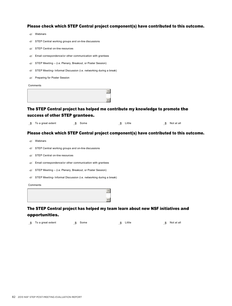Please check which STEP Central project component(s) have contributed to this outcome.

|   | Webinars |
|---|----------|
| e |          |

- **fec** STEP Central working groups and on-line discussions
- $f$  STEP Central on-line resources
- $\epsilon$  Email correspondence/or other communication with grantees
- **fec** STEP Meeting (i.e. Plenary, Breakout, or Poster Session)
- **fec STEP Meeting- Informal Discussion (i.e. networking during a break)**
- **fecerive Preparing for Poster Session**

Comments

#### The STEP Central project has helped me contribute my knowledge to promote the success of other STEP grantees.

| $\blacksquare$ To a great extent | n¶ Some | n¶ Little | $\blacksquare$ Not at all |
|----------------------------------|---------|-----------|---------------------------|

#### Please check which STEP Central project component(s) have contributed to this outcome.

- $\epsilon$  Webinars
- $f$  STEP Central working groups and on-line discussions
- $f$  STEP Central on-line resources
- $\epsilon$  Email correspondence/or other communication with grantees
- **fec** STEP Meeting (i.e. Plenary, Breakout, or Poster Session)
- **fec STEP Meeting- Informal Discussion (i.e. networking during a break)**

**Comments** 



#### The STEP Central project has helped my team learn about new NSF initiatives and opportunities.

| YPPVI LWIIILIVJI                 |         |          |                     |
|----------------------------------|---------|----------|---------------------|
| $\blacksquare$ To a great extent | ∄∎ Some | n Little | <b>n</b> Not at all |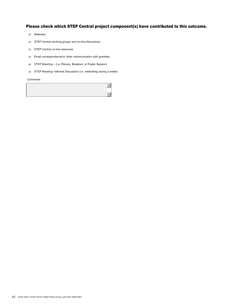### Please check which STEP Central project component(s) have contributed to this outcome.

- $\epsilon$  Webinars
- $f$  STEP Central working groups and on-line discussions
- $f$  STEP Central on-line resources
- $\epsilon$  Email correspondence/or other communication with grantees
- **fec** STEP Meeting (i.e. Plenary, Breakout, or Poster Session)
- **follo STEP Meeting- Informal Discussion (i.e. networking during a break)**

Comments

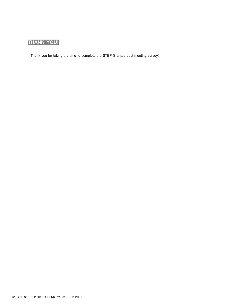# **THANK YOU!**

Thank you for taking the time to complete the STEP Grantee post-meeting survey!